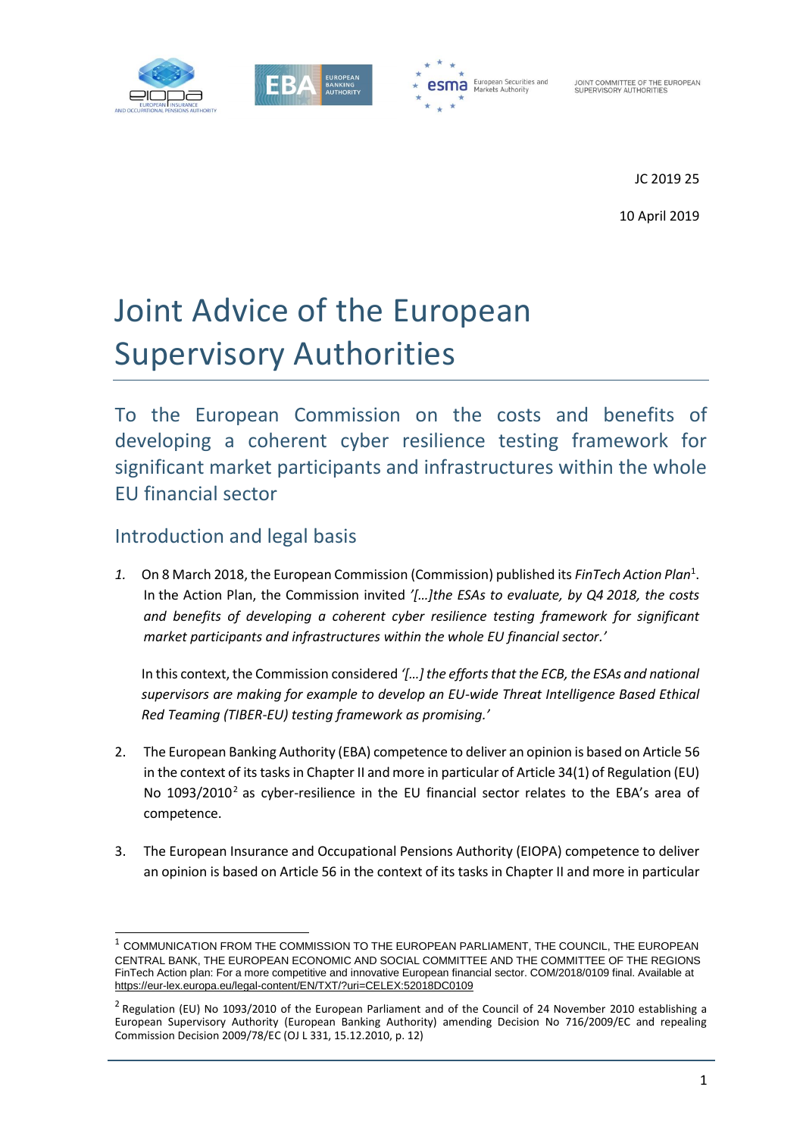



JOINT COMMITTEE OF THE EUROPEAN<br>SUPERVISORY AUTHORITIES

JC 2019 25

10 April 2019

# Joint Advice of the European Supervisory Authorities

To the European Commission on the costs and benefits of developing a coherent cyber resilience testing framework for significant market participants and infrastructures within the whole EU financial sector

## Introduction and legal basis

f

*1.* On 8 March 2018, the European Commission (Commission) published its *FinTech Action Plan*<sup>1</sup> . In the Action Plan, the Commission invited *'[…]the ESAs to evaluate, by Q4 2018, the costs and benefits of developing a coherent cyber resilience testing framework for significant market participants and infrastructures within the whole EU financial sector.'* 

In this context, the Commission considered *'[…] the efforts that the ECB, the ESAs and national supervisors are making for example to develop an EU-wide Threat Intelligence Based Ethical Red Teaming (TIBER-EU) testing framework as promising.'*

- 2. The European Banking Authority (EBA) competence to deliver an opinion is based on Article 56 in the context of its tasks in Chapter II and more in particular of Article 34(1) of Regulation (EU) No  $1093/2010^2$  as cyber-resilience in the EU financial sector relates to the EBA's area of competence.
- 3. The European Insurance and Occupational Pensions Authority (EIOPA) competence to deliver an opinion is based on Article 56 in the context of its tasks in Chapter II and more in particular

<sup>1</sup> COMMUNICATION FROM THE COMMISSION TO THE EUROPEAN PARLIAMENT, THE COUNCIL, THE EUROPEAN CENTRAL BANK, THE EUROPEAN ECONOMIC AND SOCIAL COMMITTEE AND THE COMMITTEE OF THE REGIONS FinTech Action plan: For a more competitive and innovative European financial sector. COM/2018/0109 final. Available at <https://eur-lex.europa.eu/legal-content/EN/TXT/?uri=CELEX:52018DC0109>

 $2$  Regulation (EU) No 1093/2010 of the European Parliament and of the Council of 24 November 2010 establishing a European Supervisory Authority (European Banking Authority) amending Decision No 716/2009/EC and repealing Commission Decision 2009/78/EC (OJ L 331, 15.12.2010, p. 12)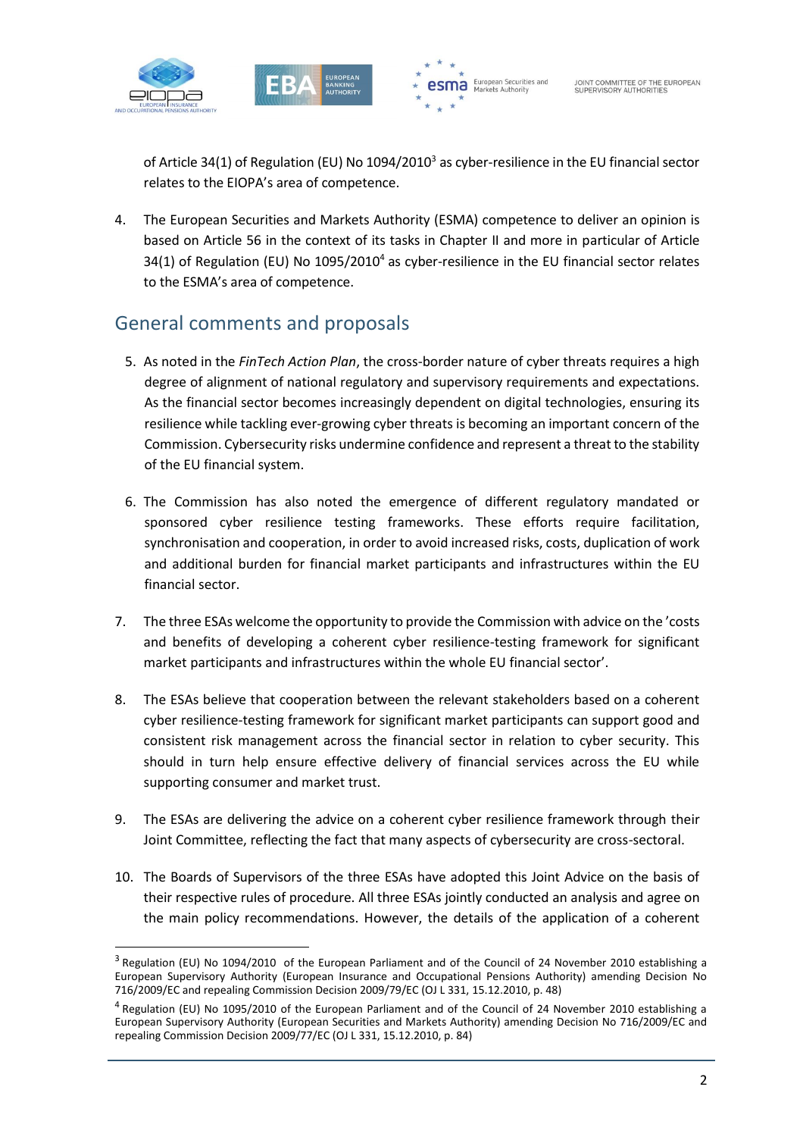

1





of Article 34(1) of Regulation (EU) No 1094/2010<sup>3</sup> as cyber-resilience in the EU financial sector relates to the EIOPA's area of competence.

4. The European Securities and Markets Authority (ESMA) competence to deliver an opinion is based on Article 56 in the context of its tasks in Chapter II and more in particular of Article 34(1) of Regulation (EU) No  $1095/2010^4$  as cyber-resilience in the EU financial sector relates to the ESMA's area of competence.

## General comments and proposals

- 5. As noted in the *FinTech Action Plan*, the cross-border nature of cyber threats requires a high degree of alignment of national regulatory and supervisory requirements and expectations. As the financial sector becomes increasingly dependent on digital technologies, ensuring its resilience while tackling ever-growing cyber threats is becoming an important concern of the Commission. Cybersecurity risks undermine confidence and represent a threat to the stability of the EU financial system.
- 6. The Commission has also noted the emergence of different regulatory mandated or sponsored cyber resilience testing frameworks. These efforts require facilitation, synchronisation and cooperation, in order to avoid increased risks, costs, duplication of work and additional burden for financial market participants and infrastructures within the EU financial sector.
- 7. The three ESAs welcome the opportunity to provide the Commission with advice on the 'costs and benefits of developing a coherent cyber resilience-testing framework for significant market participants and infrastructures within the whole EU financial sector'.
- 8. The ESAs believe that cooperation between the relevant stakeholders based on a coherent cyber resilience-testing framework for significant market participants can support good and consistent risk management across the financial sector in relation to cyber security. This should in turn help ensure effective delivery of financial services across the EU while supporting consumer and market trust.
- 9. The ESAs are delivering the advice on a coherent cyber resilience framework through their Joint Committee, reflecting the fact that many aspects of cybersecurity are cross-sectoral.
- 10. The Boards of Supervisors of the three ESAs have adopted this Joint Advice on the basis of their respective rules of procedure. All three ESAs jointly conducted an analysis and agree on the main policy recommendations. However, the details of the application of a coherent

<sup>&</sup>lt;sup>3</sup> Regulation (EU) No 1094/2010 of the European Parliament and of the Council of 24 November 2010 establishing a European Supervisory Authority (European Insurance and Occupational Pensions Authority) amending Decision No 716/2009/EC and repealing Commission Decision 2009/79/EC (OJ L 331, 15.12.2010, p. 48)

<sup>&</sup>lt;sup>4</sup> Regulation (EU) No 1095/2010 of the European Parliament and of the Council of 24 November 2010 establishing a European Supervisory Authority (European Securities and Markets Authority) amending Decision No 716/2009/EC and repealing Commission Decision 2009/77/EC (OJ L 331, 15.12.2010, p. 84)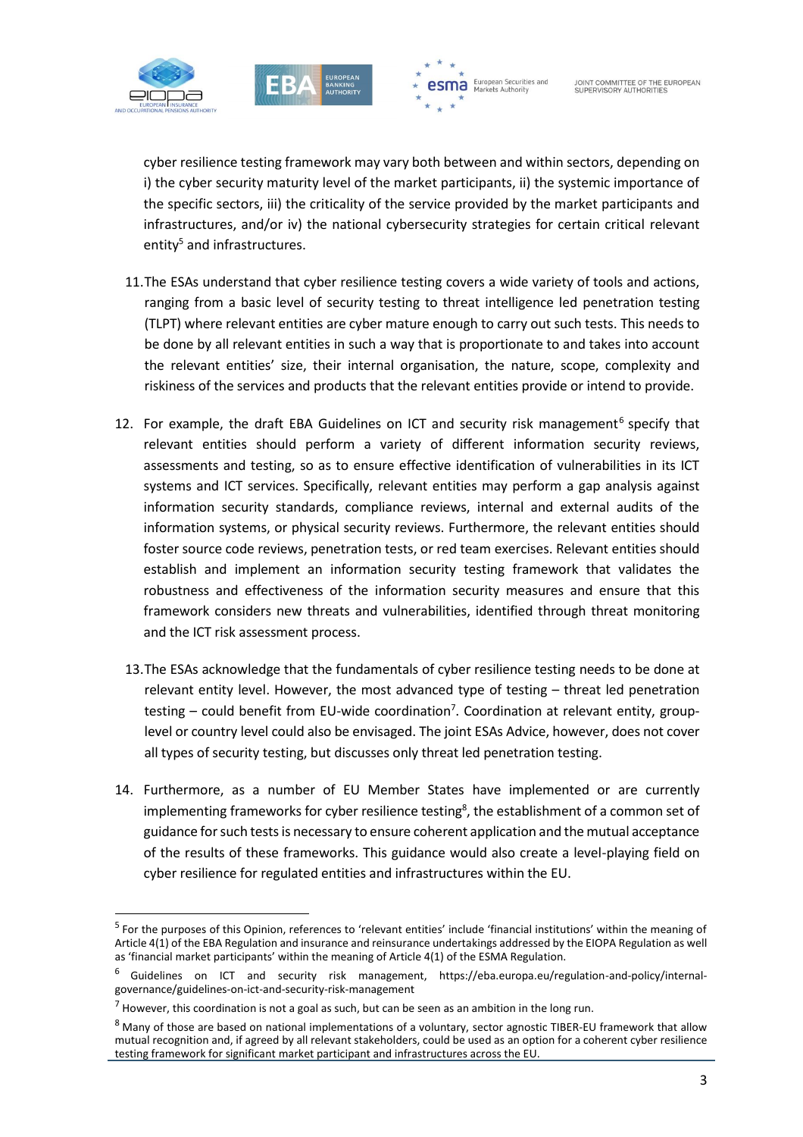

1



**esma** European Securities and

cyber resilience testing framework may vary both between and within sectors, depending on i) the cyber security maturity level of the market participants, ii) the systemic importance of the specific sectors, iii) the criticality of the service provided by the market participants and infrastructures, and/or iv) the national cybersecurity strategies for certain critical relevant entity<sup>5</sup> and infrastructures.

- 11.The ESAs understand that cyber resilience testing covers a wide variety of tools and actions, ranging from a basic level of security testing to threat intelligence led penetration testing (TLPT) where relevant entities are cyber mature enough to carry out such tests. This needs to be done by all relevant entities in such a way that is proportionate to and takes into account the relevant entities' size, their internal organisation, the nature, scope, complexity and riskiness of the services and products that the relevant entities provide or intend to provide.
- 12. For example, the draft EBA Guidelines on ICT and security risk management<sup>6</sup> specify that relevant entities should perform a variety of different information security reviews, assessments and testing, so as to ensure effective identification of vulnerabilities in its ICT systems and ICT services. Specifically, relevant entities may perform a gap analysis against information security standards, compliance reviews, internal and external audits of the information systems, or physical security reviews. Furthermore, the relevant entities should foster source code reviews, penetration tests, or red team exercises. Relevant entities should establish and implement an information security testing framework that validates the robustness and effectiveness of the information security measures and ensure that this framework considers new threats and vulnerabilities, identified through threat monitoring and the ICT risk assessment process.
- 13.The ESAs acknowledge that the fundamentals of cyber resilience testing needs to be done at relevant entity level. However, the most advanced type of testing – threat led penetration testing – could benefit from EU-wide coordination<sup>7</sup>. Coordination at relevant entity, grouplevel or country level could also be envisaged. The joint ESAs Advice, however, does not cover all types of security testing, but discusses only threat led penetration testing.
- 14. Furthermore, as a number of EU Member States have implemented or are currently implementing frameworks for cyber resilience testing<sup>8</sup>, the establishment of a common set of guidance for such tests is necessary to ensure coherent application and the mutual acceptance of the results of these frameworks. This guidance would also create a level-playing field on cyber resilience for regulated entities and infrastructures within the EU.

<sup>&</sup>lt;sup>5</sup> For the purposes of this Opinion, references to 'relevant entities' include 'financial institutions' within the meaning of Article 4(1) of the EBA Regulation and insurance and reinsurance undertakings addressed by the EIOPA Regulation as well as 'financial market participants' within the meaning of Article 4(1) of the ESMA Regulation.

<sup>6</sup> Guidelines on ICT and security risk management, https://eba.europa.eu/regulation-and-policy/internalgovernance/guidelines-on-ict-and-security-risk-management

 $7$  However, this coordination is not a goal as such, but can be seen as an ambition in the long run.

<sup>8</sup> Many of those are based on national implementations of a voluntary, sector agnostic TIBER-EU framework that allow mutual recognition and, if agreed by all relevant stakeholders, could be used as an option for a coherent cyber resilience testing framework for significant market participant and infrastructures across the EU.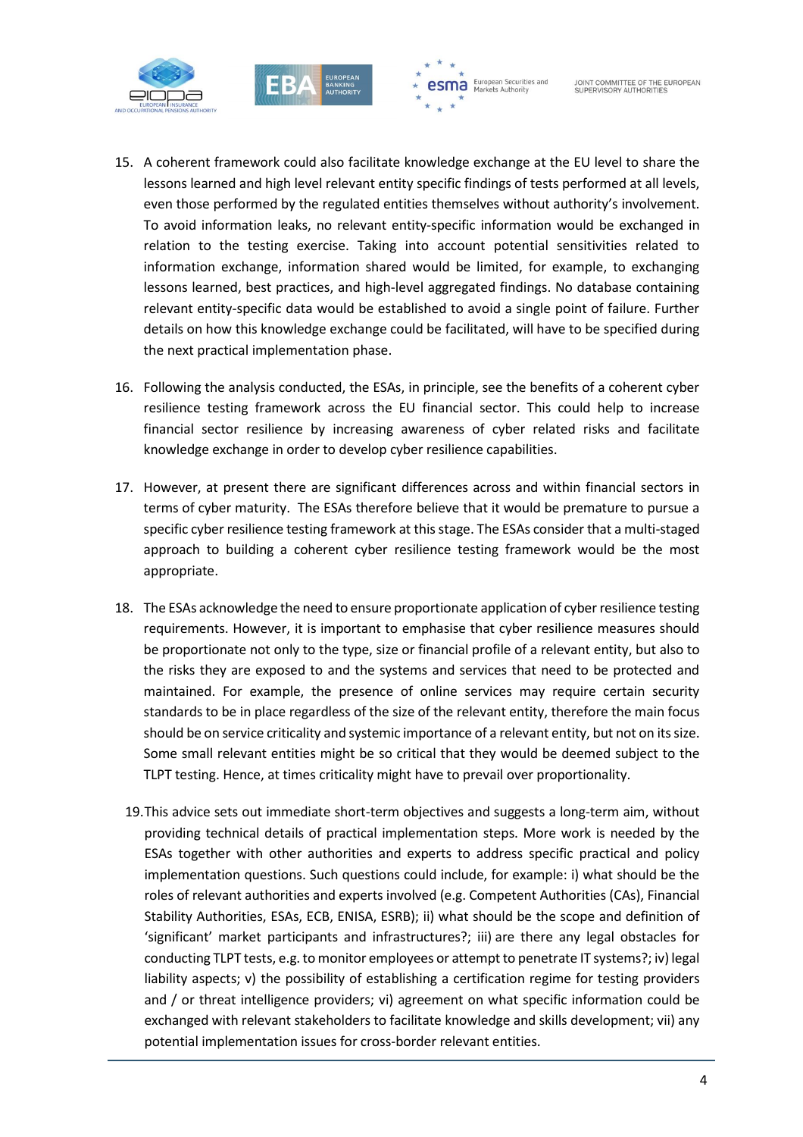





- 15. A coherent framework could also facilitate knowledge exchange at the EU level to share the lessons learned and high level relevant entity specific findings of tests performed at all levels, even those performed by the regulated entities themselves without authority's involvement. To avoid information leaks, no relevant entity-specific information would be exchanged in relation to the testing exercise. Taking into account potential sensitivities related to information exchange, information shared would be limited, for example, to exchanging lessons learned, best practices, and high-level aggregated findings. No database containing relevant entity-specific data would be established to avoid a single point of failure. Further details on how this knowledge exchange could be facilitated, will have to be specified during the next practical implementation phase.
- 16. Following the analysis conducted, the ESAs, in principle, see the benefits of a coherent cyber resilience testing framework across the EU financial sector. This could help to increase financial sector resilience by increasing awareness of cyber related risks and facilitate knowledge exchange in order to develop cyber resilience capabilities.
- 17. However, at present there are significant differences across and within financial sectors in terms of cyber maturity. The ESAs therefore believe that it would be premature to pursue a specific cyber resilience testing framework at this stage. The ESAs consider that a multi-staged approach to building a coherent cyber resilience testing framework would be the most appropriate.
- 18. The ESAs acknowledge the need to ensure proportionate application of cyber resilience testing requirements. However, it is important to emphasise that cyber resilience measures should be proportionate not only to the type, size or financial profile of a relevant entity, but also to the risks they are exposed to and the systems and services that need to be protected and maintained. For example, the presence of online services may require certain security standards to be in place regardless of the size of the relevant entity, therefore the main focus should be on service criticality and systemic importance of a relevant entity, but not on its size. Some small relevant entities might be so critical that they would be deemed subject to the TLPT testing. Hence, at times criticality might have to prevail over proportionality.
- 19.This advice sets out immediate short-term objectives and suggests a long-term aim, without providing technical details of practical implementation steps. More work is needed by the ESAs together with other authorities and experts to address specific practical and policy implementation questions. Such questions could include, for example: i) what should be the roles of relevant authorities and experts involved (e.g. Competent Authorities (CAs), Financial Stability Authorities, ESAs, ECB, ENISA, ESRB); ii) what should be the scope and definition of 'significant' market participants and infrastructures?; iii) are there any legal obstacles for conducting TLPT tests, e.g. to monitor employees or attempt to penetrate IT systems?; iv) legal liability aspects; v) the possibility of establishing a certification regime for testing providers and / or threat intelligence providers; vi) agreement on what specific information could be exchanged with relevant stakeholders to facilitate knowledge and skills development; vii) any potential implementation issues for cross-border relevant entities.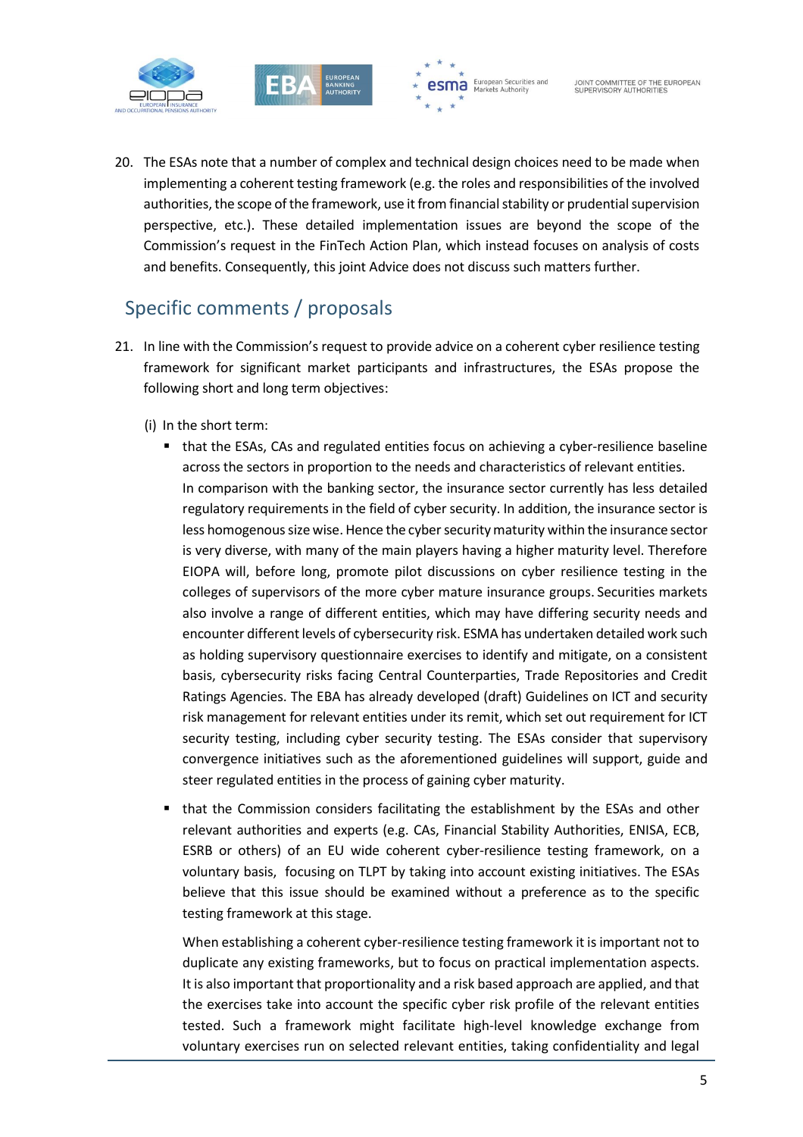





20. The ESAs note that a number of complex and technical design choices need to be made when implementing a coherent testing framework (e.g. the roles and responsibilities of the involved authorities, the scope of the framework, use it from financial stability or prudential supervision perspective, etc.). These detailed implementation issues are beyond the scope of the Commission's request in the FinTech Action Plan, which instead focuses on analysis of costs and benefits. Consequently, this joint Advice does not discuss such matters further.

## Specific comments / proposals

- 21. In line with the Commission's request to provide advice on a coherent cyber resilience testing framework for significant market participants and infrastructures, the ESAs propose the following short and long term objectives:
	- (i) In the short term:
		- that the ESAs, CAs and regulated entities focus on achieving a cyber-resilience baseline across the sectors in proportion to the needs and characteristics of relevant entities. In comparison with the banking sector, the insurance sector currently has less detailed regulatory requirements in the field of cyber security. In addition, the insurance sector is less homogenous size wise. Hence the cyber security maturity within the insurance sector is very diverse, with many of the main players having a higher maturity level. Therefore EIOPA will, before long, promote pilot discussions on cyber resilience testing in the colleges of supervisors of the more cyber mature insurance groups. Securities markets also involve a range of different entities, which may have differing security needs and encounter different levels of cybersecurity risk. ESMA has undertaken detailed work such as holding supervisory questionnaire exercises to identify and mitigate, on a consistent basis, cybersecurity risks facing Central Counterparties, Trade Repositories and Credit Ratings Agencies. The EBA has already developed (draft) Guidelines on ICT and security risk management for relevant entities under its remit, which set out requirement for ICT security testing, including cyber security testing. The ESAs consider that supervisory convergence initiatives such as the aforementioned guidelines will support, guide and steer regulated entities in the process of gaining cyber maturity.
		- that the Commission considers facilitating the establishment by the ESAs and other relevant authorities and experts (e.g. CAs, Financial Stability Authorities, ENISA, ECB, ESRB or others) of an EU wide coherent cyber-resilience testing framework, on a voluntary basis, focusing on TLPT by taking into account existing initiatives. The ESAs believe that this issue should be examined without a preference as to the specific testing framework at this stage.

When establishing a coherent cyber-resilience testing framework it is important not to duplicate any existing frameworks, but to focus on practical implementation aspects. It is also important that proportionality and a risk based approach are applied, and that the exercises take into account the specific cyber risk profile of the relevant entities tested. Such a framework might facilitate high-level knowledge exchange from voluntary exercises run on selected relevant entities, taking confidentiality and legal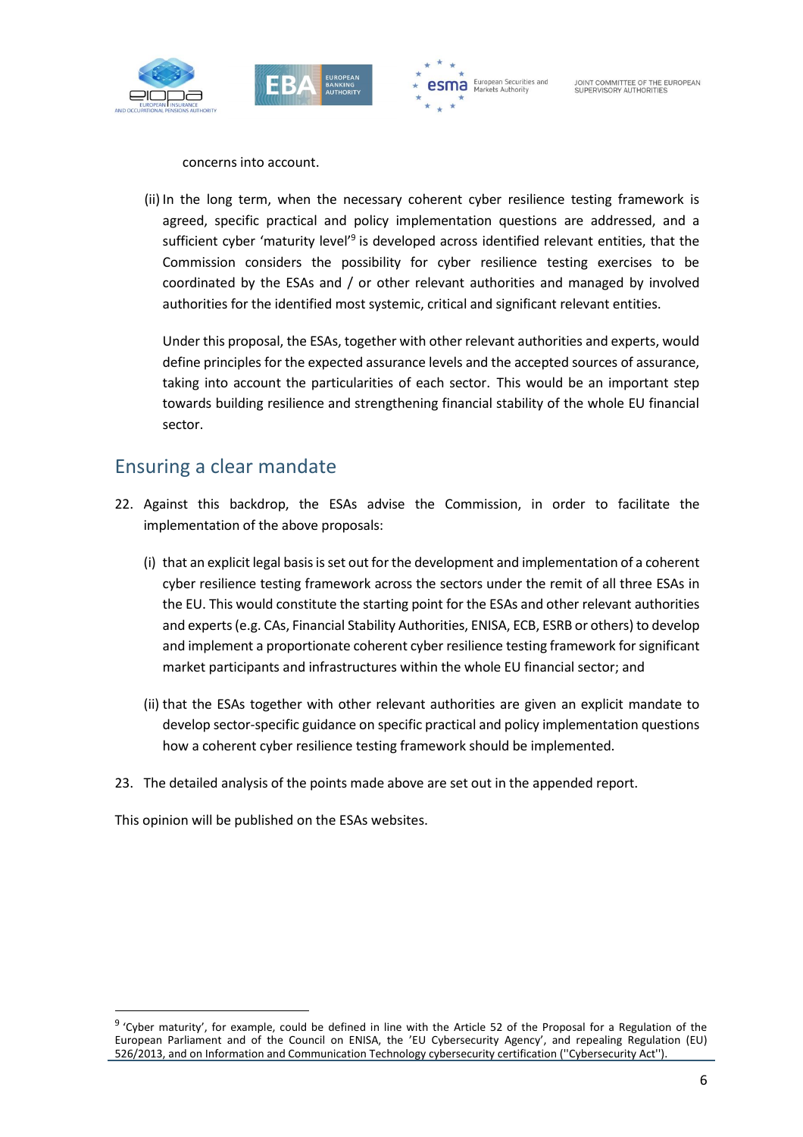





concerns into account.

(ii) In the long term, when the necessary coherent cyber resilience testing framework is agreed, specific practical and policy implementation questions are addressed, and a sufficient cyber 'maturity level'<sup>9</sup> is developed across identified relevant entities, that the Commission considers the possibility for cyber resilience testing exercises to be coordinated by the ESAs and / or other relevant authorities and managed by involved authorities for the identified most systemic, critical and significant relevant entities.

Under this proposal, the ESAs, together with other relevant authorities and experts, would define principles for the expected assurance levels and the accepted sources of assurance, taking into account the particularities of each sector. This would be an important step towards building resilience and strengthening financial stability of the whole EU financial sector.

### Ensuring a clear mandate

- 22. Against this backdrop, the ESAs advise the Commission, in order to facilitate the implementation of the above proposals:
	- (i) that an explicit legal basis is set out for the development and implementation of a coherent cyber resilience testing framework across the sectors under the remit of all three ESAs in the EU. This would constitute the starting point for the ESAs and other relevant authorities and experts (e.g. CAs, Financial Stability Authorities, ENISA, ECB, ESRB or others) to develop and implement a proportionate coherent cyber resilience testing framework for significant market participants and infrastructures within the whole EU financial sector; and
	- (ii) that the ESAs together with other relevant authorities are given an explicit mandate to develop sector-specific guidance on specific practical and policy implementation questions how a coherent cyber resilience testing framework should be implemented.
- 23. The detailed analysis of the points made above are set out in the appended report.

This opinion will be published on the ESAs websites.

1

<sup>&</sup>lt;sup>9</sup> 'Cyber maturity', for example, could be defined in line with the Article 52 of the Proposal for a Regulation of the European Parliament and of the Council on ENISA, the 'EU Cybersecurity Agency', and repealing Regulation (EU) 526/2013, and on Information and Communication Technology cybersecurity certification (''Cybersecurity Act'').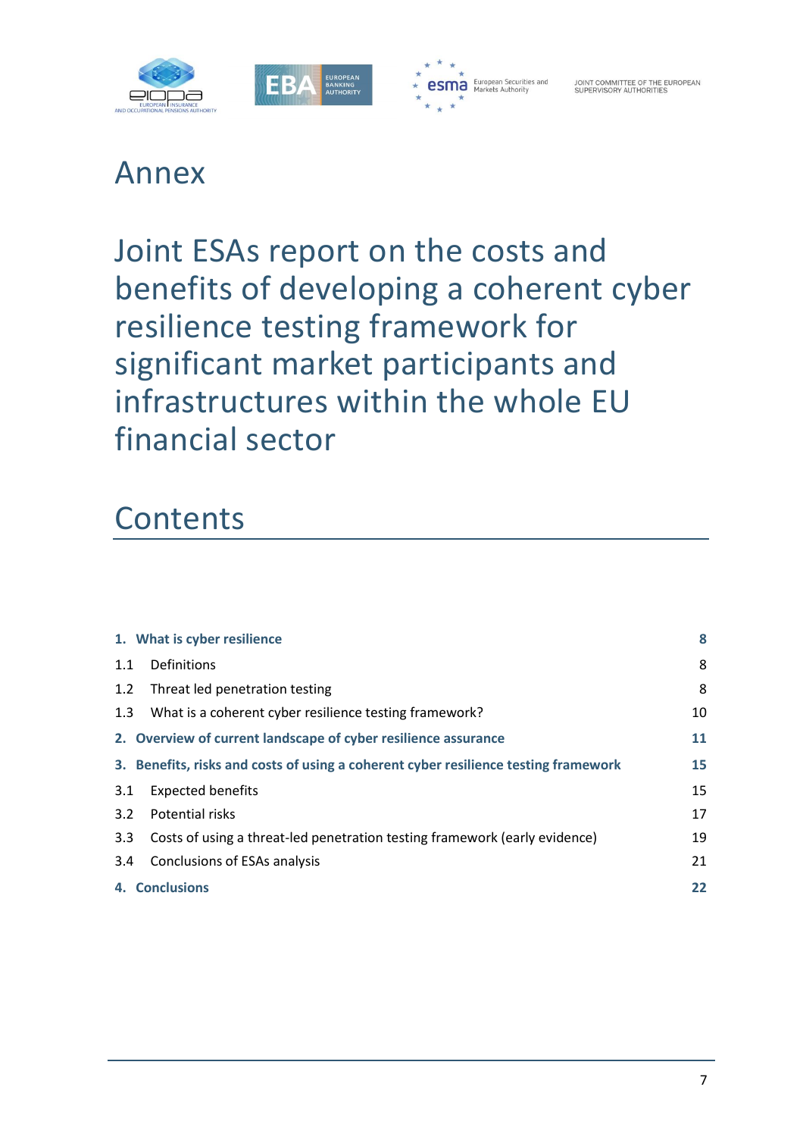



## Annex

## Joint ESAs report on the costs and benefits of developing a coherent cyber resilience testing framework for significant market participants and infrastructures within the whole EU financial sector

# **Contents**

| 1. What is cyber resilience                                                         | 8  |
|-------------------------------------------------------------------------------------|----|
| Definitions<br>1.1                                                                  | 8  |
| Threat led penetration testing<br>1.2                                               | 8  |
| What is a coherent cyber resilience testing framework?<br>1.3                       | 10 |
| 2. Overview of current landscape of cyber resilience assurance                      | 11 |
| 3. Benefits, risks and costs of using a coherent cyber resilience testing framework | 15 |
| <b>Expected benefits</b><br>3.1                                                     | 15 |
| Potential risks<br>3.2                                                              | 17 |
| Costs of using a threat-led penetration testing framework (early evidence)<br>3.3   | 19 |
| 3.4<br>Conclusions of ESAs analysis                                                 | 21 |
| 4. Conclusions                                                                      | 22 |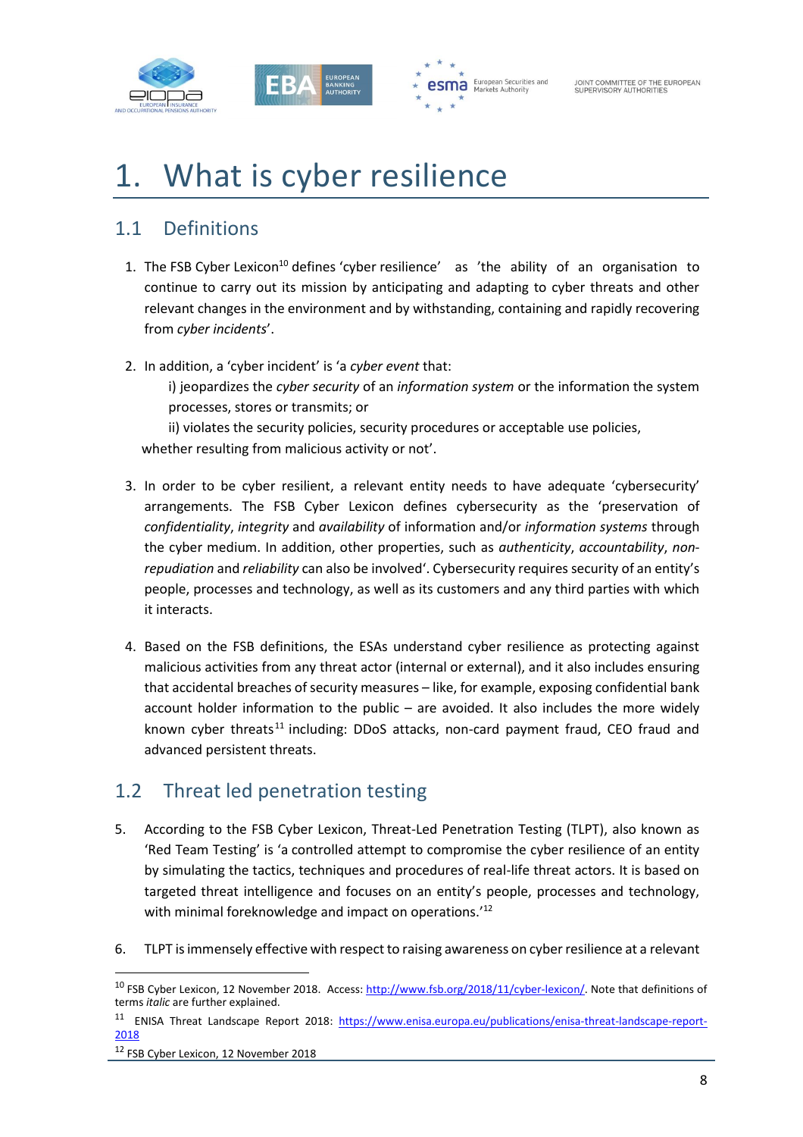



# 1. What is cyber resilience

## 1.1 Definitions

- 1. The FSB Cyber Lexicon<sup>10</sup> defines 'cyber resilience' as 'the ability of an organisation to continue to carry out its mission by anticipating and adapting to cyber threats and other relevant changes in the environment and by withstanding, containing and rapidly recovering from *cyber incidents*'.
- 2. In addition, a 'cyber incident' is 'a *cyber event* that:

i) jeopardizes the *cyber security* of an *information system* or the information the system processes, stores or transmits; or

ii) violates the security policies, security procedures or acceptable use policies, whether resulting from malicious activity or not'.

- 3. In order to be cyber resilient, a relevant entity needs to have adequate 'cybersecurity' arrangements. The FSB Cyber Lexicon defines cybersecurity as the 'preservation of *confidentiality*, *integrity* and *availability* of information and/or *information systems* through the cyber medium. In addition, other properties, such as *authenticity*, *accountability*, *nonrepudiation* and *reliability* can also be involved'. Cybersecurity requires security of an entity's people, processes and technology, as well as its customers and any third parties with which it interacts.
- 4. Based on the FSB definitions, the ESAs understand cyber resilience as protecting against malicious activities from any threat actor (internal or external), and it also includes ensuring that accidental breaches of security measures – like, for example, exposing confidential bank account holder information to the public – are avoided. It also includes the more widely known cyber threats<sup>11</sup> including: DDoS attacks, non-card payment fraud, CEO fraud and advanced persistent threats.

## 1.2 Threat led penetration testing

- 5. According to the FSB Cyber Lexicon, Threat-Led Penetration Testing (TLPT), also known as 'Red Team Testing' is 'a controlled attempt to compromise the cyber resilience of an entity by simulating the tactics, techniques and procedures of real-life threat actors. It is based on targeted threat intelligence and focuses on an entity's people, processes and technology, with minimal foreknowledge and impact on operations.<sup>'12</sup>
- 6. TLPT is immensely effective with respect to raising awareness on cyber resilience at a relevant

1

<sup>&</sup>lt;sup>10</sup> FSB Cyber Lexicon, 12 November 2018. Access[: http://www.fsb.org/2018/11/cyber-lexicon/.](http://www.fsb.org/2018/11/cyber-lexicon/) Note that definitions of terms *italic* are further explained.

<sup>&</sup>lt;sup>11</sup> ENISA Threat Landscape Report 2018: [https://www.enisa.europa.eu/publications/enisa-threat-landscape-report-](https://www.enisa.europa.eu/publications/enisa-threat-landscape-report-2018)[2018](https://www.enisa.europa.eu/publications/enisa-threat-landscape-report-2018)

<sup>&</sup>lt;sup>12</sup> FSB Cyber Lexicon, 12 November 2018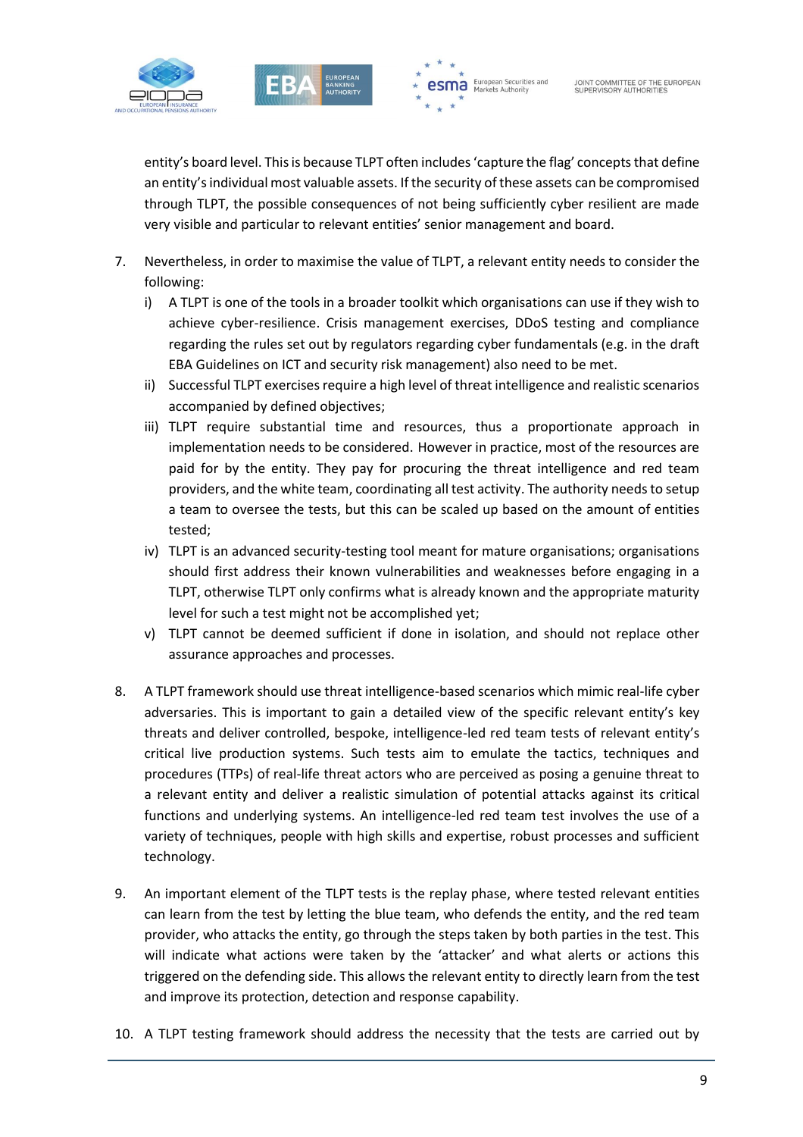



entity's board level. This is because TLPT often includes 'capture the flag' concepts that define an entity's individual most valuable assets. If the security of these assets can be compromised through TLPT, the possible consequences of not being sufficiently cyber resilient are made very visible and particular to relevant entities' senior management and board.

- 7. Nevertheless, in order to maximise the value of TLPT, a relevant entity needs to consider the following:
	- i) A TLPT is one of the tools in a broader toolkit which organisations can use if they wish to achieve cyber-resilience. Crisis management exercises, DDoS testing and compliance regarding the rules set out by regulators regarding cyber fundamentals (e.g. in the draft EBA Guidelines on ICT and security risk management) also need to be met.
	- ii) Successful TLPT exercises require a high level of threat intelligence and realistic scenarios accompanied by defined objectives;
	- iii) TLPT require substantial time and resources, thus a proportionate approach in implementation needs to be considered. However in practice, most of the resources are paid for by the entity. They pay for procuring the threat intelligence and red team providers, and the white team, coordinating all test activity. The authority needs to setup a team to oversee the tests, but this can be scaled up based on the amount of entities tested;
	- iv) TLPT is an advanced security-testing tool meant for mature organisations; organisations should first address their known vulnerabilities and weaknesses before engaging in a TLPT, otherwise TLPT only confirms what is already known and the appropriate maturity level for such a test might not be accomplished yet;
	- v) TLPT cannot be deemed sufficient if done in isolation, and should not replace other assurance approaches and processes.
- 8. A TLPT framework should use threat intelligence-based scenarios which mimic real-life cyber adversaries. This is important to gain a detailed view of the specific relevant entity's key threats and deliver controlled, bespoke, intelligence-led red team tests of relevant entity's critical live production systems. Such tests aim to emulate the tactics, techniques and procedures (TTPs) of real-life threat actors who are perceived as posing a genuine threat to a relevant entity and deliver a realistic simulation of potential attacks against its critical functions and underlying systems. An intelligence-led red team test involves the use of a variety of techniques, people with high skills and expertise, robust processes and sufficient technology.
- 9. An important element of the TLPT tests is the replay phase, where tested relevant entities can learn from the test by letting the blue team, who defends the entity, and the red team provider, who attacks the entity, go through the steps taken by both parties in the test. This will indicate what actions were taken by the 'attacker' and what alerts or actions this triggered on the defending side. This allows the relevant entity to directly learn from the test and improve its protection, detection and response capability.
- 10. A TLPT testing framework should address the necessity that the tests are carried out by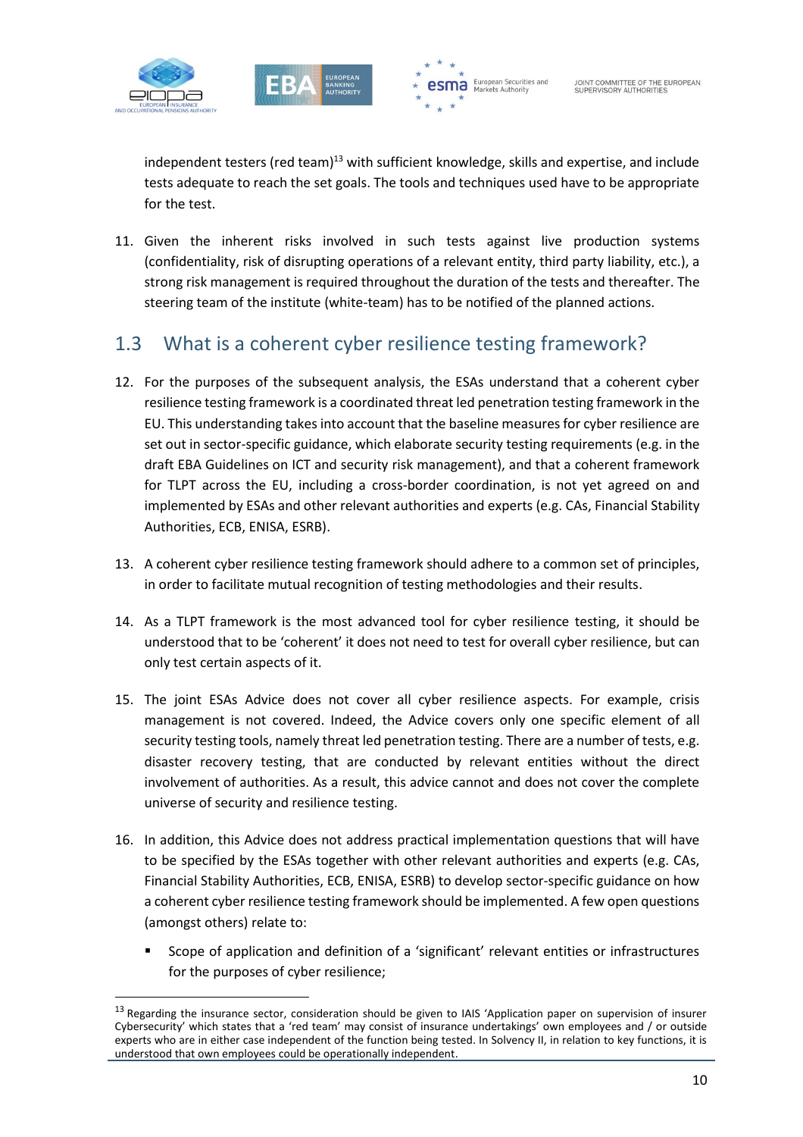

1





independent testers (red team) $<sup>13</sup>$  with sufficient knowledge, skills and expertise, and include</sup> tests adequate to reach the set goals. The tools and techniques used have to be appropriate for the test.

11. Given the inherent risks involved in such tests against live production systems (confidentiality, risk of disrupting operations of a relevant entity, third party liability, etc.), a strong risk management is required throughout the duration of the tests and thereafter. The steering team of the institute (white-team) has to be notified of the planned actions.

### 1.3 What is a coherent cyber resilience testing framework?

- 12. For the purposes of the subsequent analysis, the ESAs understand that a coherent cyber resilience testing framework is a coordinated threat led penetration testing framework in the EU. This understanding takes into account that the baseline measures for cyber resilience are set out in sector-specific guidance, which elaborate security testing requirements (e.g. in the draft EBA Guidelines on ICT and security risk management), and that a coherent framework for TLPT across the EU, including a cross-border coordination, is not yet agreed on and implemented by ESAs and other relevant authorities and experts (e.g. CAs, Financial Stability Authorities, ECB, ENISA, ESRB).
- 13. A coherent cyber resilience testing framework should adhere to a common set of principles, in order to facilitate mutual recognition of testing methodologies and their results.
- 14. As a TLPT framework is the most advanced tool for cyber resilience testing, it should be understood that to be 'coherent' it does not need to test for overall cyber resilience, but can only test certain aspects of it.
- 15. The joint ESAs Advice does not cover all cyber resilience aspects. For example, crisis management is not covered. Indeed, the Advice covers only one specific element of all security testing tools, namely threat led penetration testing. There are a number of tests, e.g. disaster recovery testing, that are conducted by relevant entities without the direct involvement of authorities. As a result, this advice cannot and does not cover the complete universe of security and resilience testing.
- 16. In addition, this Advice does not address practical implementation questions that will have to be specified by the ESAs together with other relevant authorities and experts (e.g. CAs, Financial Stability Authorities, ECB, ENISA, ESRB) to develop sector-specific guidance on how a coherent cyber resilience testing framework should be implemented. A few open questions (amongst others) relate to:
	- Scope of application and definition of a 'significant' relevant entities or infrastructures for the purposes of cyber resilience;

<sup>&</sup>lt;sup>13</sup> Regarding the insurance sector, consideration should be given to IAIS 'Application paper on supervision of insurer Cybersecurity' which states that a 'red team' may consist of insurance undertakings' own employees and / or outside experts who are in either case independent of the function being tested. In Solvency II, in relation to key functions, it is understood that own employees could be operationally independent.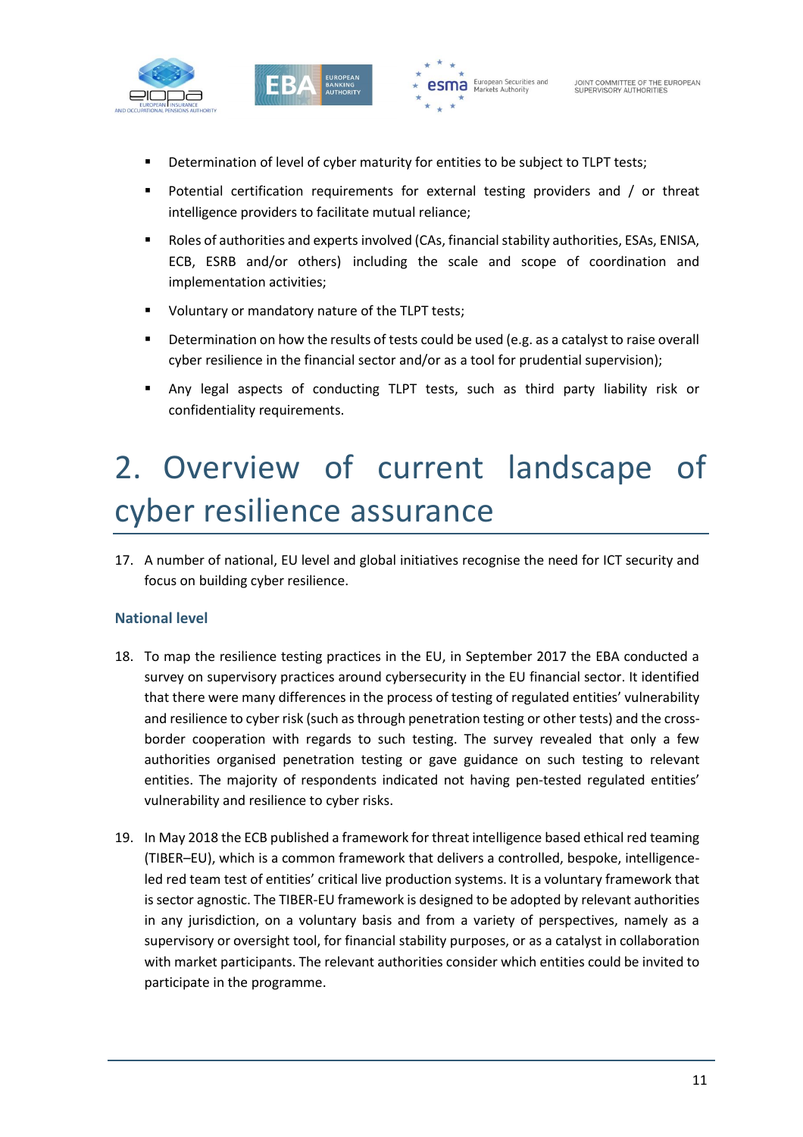



- **Determination of level of cyber maturity for entities to be subject to TLPT tests;**
- **Potential certification requirements for external testing providers and / or threat** intelligence providers to facilitate mutual reliance;
- Roles of authorities and experts involved (CAs, financial stability authorities, ESAs, ENISA, ECB, ESRB and/or others) including the scale and scope of coordination and implementation activities;
- **Voluntary or mandatory nature of the TLPT tests;**
- **Determination on how the results of tests could be used (e.g. as a catalyst to raise overall** cyber resilience in the financial sector and/or as a tool for prudential supervision);
- Any legal aspects of conducting TLPT tests, such as third party liability risk or confidentiality requirements.

# 2. Overview of current landscape of cyber resilience assurance

17. A number of national, EU level and global initiatives recognise the need for ICT security and focus on building cyber resilience.

#### **National level**

- 18. To map the resilience testing practices in the EU, in September 2017 the EBA conducted a survey on supervisory practices around cybersecurity in the EU financial sector. It identified that there were many differences in the process of testing of regulated entities' vulnerability and resilience to cyber risk (such as through penetration testing or other tests) and the crossborder cooperation with regards to such testing. The survey revealed that only a few authorities organised penetration testing or gave guidance on such testing to relevant entities. The majority of respondents indicated not having pen-tested regulated entities' vulnerability and resilience to cyber risks.
- 19. In May 2018 the ECB published a framework for threat intelligence based ethical red teaming (TIBER–EU), which is a common framework that delivers a controlled, bespoke, intelligenceled red team test of entities' critical live production systems. It is a voluntary framework that is sector agnostic. The TIBER-EU framework is designed to be adopted by relevant authorities in any jurisdiction, on a voluntary basis and from a variety of perspectives, namely as a supervisory or oversight tool, for financial stability purposes, or as a catalyst in collaboration with market participants. The relevant authorities consider which entities could be invited to participate in the programme.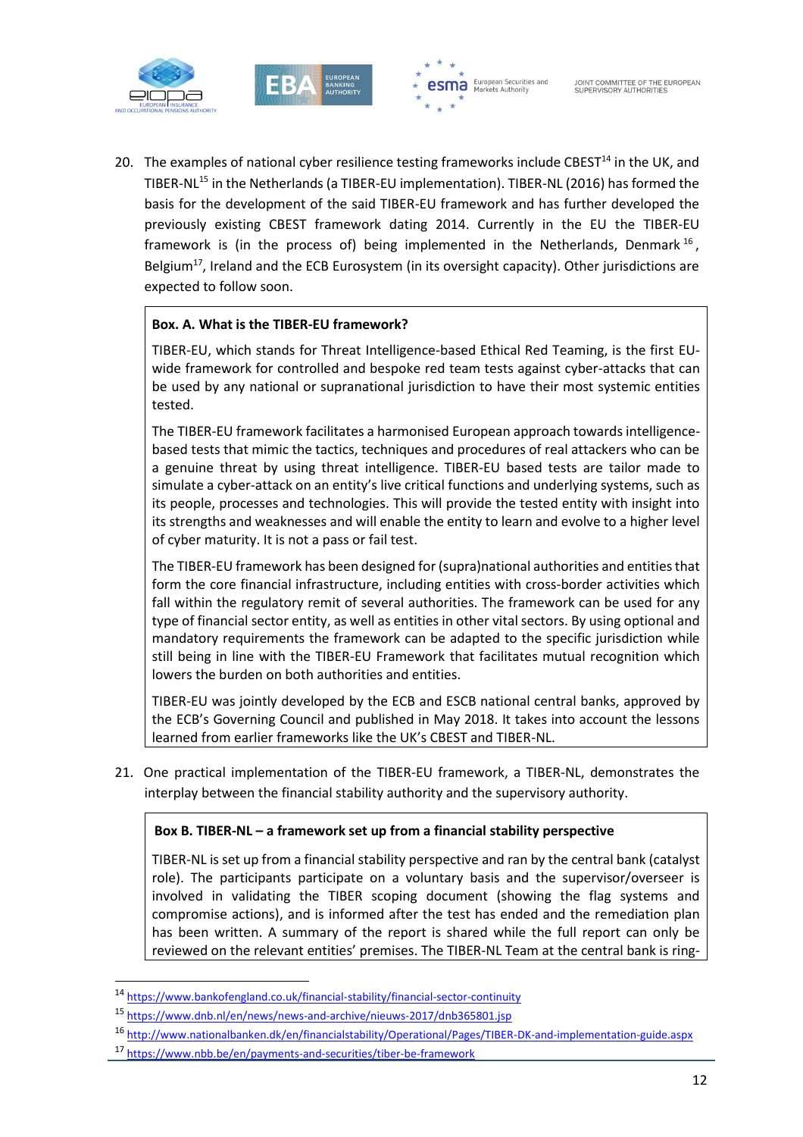





20. The examples of national cyber resilience testing frameworks include CBEST<sup>14</sup> in the UK, and TIBER-NL<sup>15</sup> in the Netherlands (a TIBER-EU implementation). TIBER-NL (2016) has formed the basis for the development of the said TIBER-EU framework and has further developed the previously existing CBEST framework dating 2014. Currently in the EU the TIBER-EU framework is (in the process of) being implemented in the Netherlands, Denmark<sup>16</sup>, Belgium $^{17}$ , Ireland and the ECB Eurosystem (in its oversight capacity). Other jurisdictions are expected to follow soon.

#### **Box. A. What is the TIBER-EU framework?**

TIBER-EU, which stands for Threat Intelligence-based Ethical Red Teaming, is the first EUwide framework for controlled and bespoke red team tests against cyber-attacks that can be used by any national or supranational jurisdiction to have their most systemic entities tested.

The TIBER-EU framework facilitates a harmonised European approach towards intelligencebased tests that mimic the tactics, techniques and procedures of real attackers who can be a genuine threat by using threat intelligence. TIBER-EU based tests are tailor made to simulate a cyber-attack on an entity's live critical functions and underlying systems, such as its people, processes and technologies. This will provide the tested entity with insight into its strengths and weaknesses and will enable the entity to learn and evolve to a higher level of cyber maturity. It is not a pass or fail test.

The TIBER-EU framework has been designed for (supra)national authorities and entities that form the core financial infrastructure, including entities with cross-border activities which fall within the regulatory remit of several authorities. The framework can be used for any type of financial sector entity, as well as entities in other vital sectors. By using optional and mandatory requirements the framework can be adapted to the specific jurisdiction while still being in line with the TIBER-EU Framework that facilitates mutual recognition which lowers the burden on both authorities and entities.

TIBER-EU was jointly developed by the ECB and ESCB national central banks, approved by the ECB's Governing Council and published in May 2018. It takes into account the lessons learned from earlier frameworks like the UK's CBEST and TIBER-NL.

21. One practical implementation of the TIBER-EU framework, a TIBER-NL, demonstrates the interplay between the financial stability authority and the supervisory authority.

#### **Box B. TIBER-NL – a framework set up from a financial stability perspective**

TIBER-NL is set up from a financial stability perspective and ran by the central bank (catalyst role). The participants participate on a voluntary basis and the supervisor/overseer is involved in validating the TIBER scoping document (showing the flag systems and compromise actions), and is informed after the test has ended and the remediation plan has been written. A summary of the report is shared while the full report can only be reviewed on the relevant entities' premises. The TIBER-NL Team at the central bank is ring-

1

<sup>14</sup> https://www.bankofengland.co.uk/financial-stability/financial-sector-continuity

<sup>15</sup> <https://www.dnb.nl/en/news/news-and-archive/nieuws-2017/dnb365801.jsp>

<sup>16</sup> <http://www.nationalbanken.dk/en/financialstability/Operational/Pages/TIBER-DK-and-implementation-guide.aspx>

<sup>17</sup> <https://www.nbb.be/en/payments-and-securities/tiber-be-framework>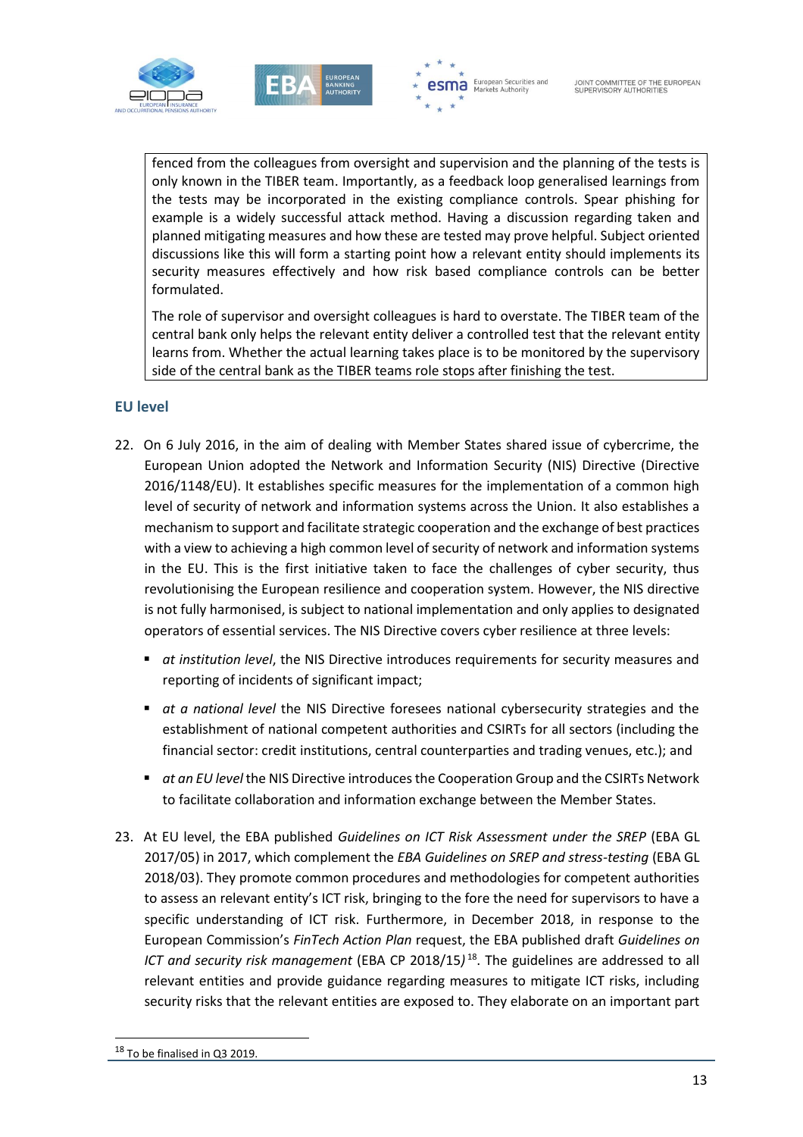





fenced from the colleagues from oversight and supervision and the planning of the tests is only known in the TIBER team. Importantly, as a feedback loop generalised learnings from the tests may be incorporated in the existing compliance controls. Spear phishing for example is a widely successful attack method. Having a discussion regarding taken and planned mitigating measures and how these are tested may prove helpful. Subject oriented discussions like this will form a starting point how a relevant entity should implements its security measures effectively and how risk based compliance controls can be better formulated.

The role of supervisor and oversight colleagues is hard to overstate. The TIBER team of the central bank only helps the relevant entity deliver a controlled test that the relevant entity learns from. Whether the actual learning takes place is to be monitored by the supervisory side of the central bank as the TIBER teams role stops after finishing the test.

#### **EU level**

- 22. On 6 July 2016, in the aim of dealing with Member States shared issue of cybercrime, the European Union adopted the Network and Information Security (NIS) Directive (Directive 2016/1148/EU). It establishes specific measures for the implementation of a common high level of security of network and information systems across the Union. It also establishes a mechanism to support and facilitate strategic cooperation and the exchange of best practices with a view to achieving a high common level of security of network and information systems in the EU. This is the first initiative taken to face the challenges of cyber security, thus revolutionising the European resilience and cooperation system. However, the NIS directive is not fully harmonised, is subject to national implementation and only applies to designated operators of essential services. The NIS Directive covers cyber resilience at three levels:
	- *at institution level*, the NIS Directive introduces requirements for security measures and reporting of incidents of significant impact;
	- *at a national level* the NIS Directive foresees national cybersecurity strategies and the establishment of national competent authorities and CSIRTs for all sectors (including the financial sector: credit institutions, central counterparties and trading venues, etc.); and
	- *at an EU level* the NIS Directive introduces the Cooperation Group and the CSIRTs Network to facilitate collaboration and information exchange between the Member States.
- 23. At EU level, the EBA published *Guidelines on ICT Risk Assessment under the SREP* (EBA GL 2017/05) in 2017, which complement the *EBA Guidelines on SREP and stress-testing* (EBA GL 2018/03). They promote common procedures and methodologies for competent authorities to assess an relevant entity's ICT risk, bringing to the fore the need for supervisors to have a specific understanding of ICT risk. Furthermore, in December 2018, in response to the European Commission's *FinTech Action Plan* request, the EBA published draft *Guidelines on ICT and security risk management* (EBA CP 2018/15*)* <sup>18</sup>. The guidelines are addressed to all relevant entities and provide guidance regarding measures to mitigate ICT risks, including security risks that the relevant entities are exposed to. They elaborate on an important part

1

<sup>&</sup>lt;sup>18</sup> To be finalised in Q3 2019.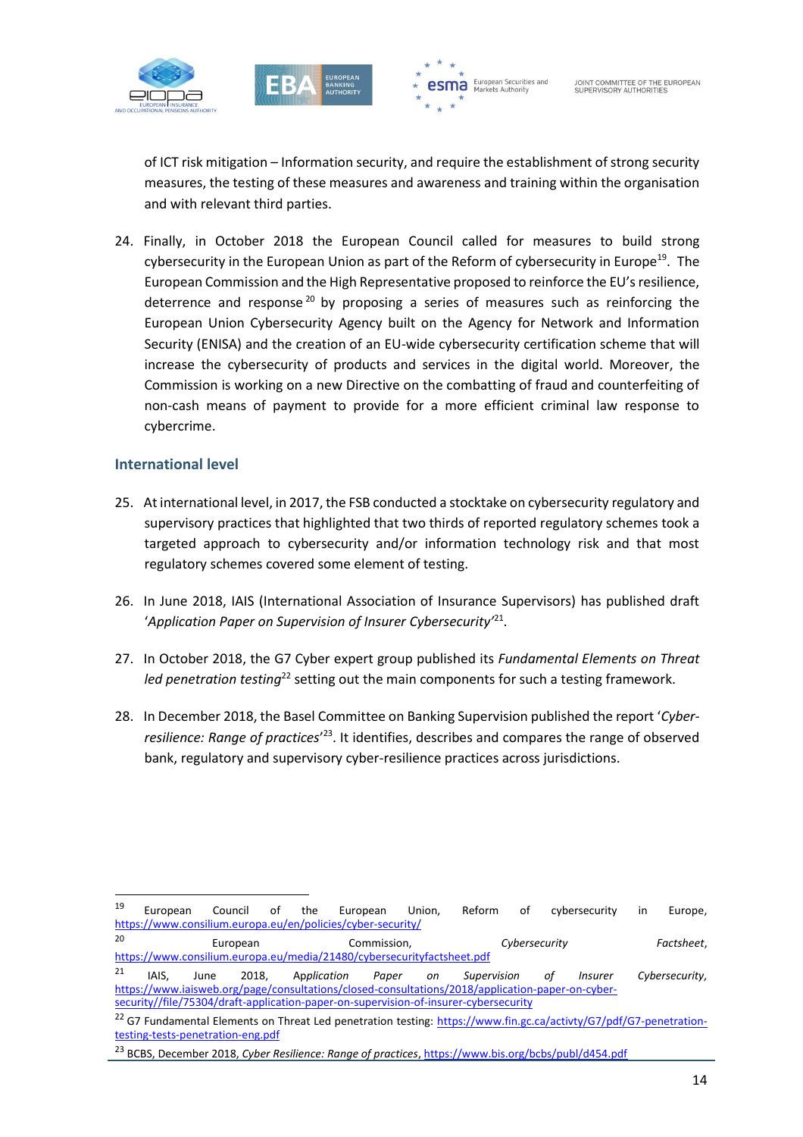



of ICT risk mitigation – Information security, and require the establishment of strong security measures, the testing of these measures and awareness and training within the organisation and with relevant third parties.

24. Finally, in October 2018 the European Council called for measures to build strong cybersecurity in the European Union as part of the Reform of cybersecurity in Europe<sup>19</sup>. The European Commission and the High Representative proposed to reinforce the EU's resilience, deterrence and response<sup>20</sup> by proposing a series of measures such as reinforcing the European Union Cybersecurity Agency built on the Agency for Network and Information Security (ENISA) and the creation of an EU-wide cybersecurity certification scheme that will increase the cybersecurity of products and services in the digital world. Moreover, the Commission is working on a new Directive on the combatting of fraud and counterfeiting of non-cash means of payment to provide for a more efficient criminal law response to cybercrime.

#### **International level**

f

- 25. At international level, in 2017, the FSB conducted a stocktake on cybersecurity regulatory and supervisory practices that highlighted that two thirds of reported regulatory schemes took a targeted approach to cybersecurity and/or information technology risk and that most regulatory schemes covered some element of testing.
- 26. In June 2018, IAIS (International Association of Insurance Supervisors) has published draft '*Application Paper on Supervision of Insurer Cybersecurity'*<sup>21</sup> .
- 27. In October 2018, the G7 Cyber expert group published its *Fundamental Elements on Threat*  led penetration testing<sup>22</sup> setting out the main components for such a testing framework.
- 28. In December 2018, the Basel Committee on Banking Supervision published the report '*Cyber*resilience: Range of practices<sup>'23</sup>. It identifies, describes and compares the range of observed bank, regulatory and supervisory cyber-resilience practices across jurisdictions.

<sup>&</sup>lt;sup>19</sup> European Council of the European Union, Reform of cybersecurity in Europe, <https://www.consilium.europa.eu/en/policies/cyber-security/>

<sup>20</sup> European Commission, *Cybersecurity Factsheet*, <https://www.consilium.europa.eu/media/21480/cybersecurityfactsheet.pdf>

<sup>21</sup> IAIS, June 2018, Ap*plication Paper on Supervision of Insurer Cybersecurity,*  [https://www.iaisweb.org/page/consultations/closed-consultations/2018/application-paper-on-cyber](https://www.iaisweb.org/page/consultations/closed-consultations/2018/application-paper-on-cyber-security/file/75304/draft-application-paper-on-supervision-of-insurer-cybersecurity)[security//file/75304/draft-application-paper-on-supervision-of-insurer-cybersecurity](https://www.iaisweb.org/page/consultations/closed-consultations/2018/application-paper-on-cyber-security/file/75304/draft-application-paper-on-supervision-of-insurer-cybersecurity)

<sup>&</sup>lt;sup>22</sup> G7 Fundamental Elements on Threat Led penetration testing: [https://www.fin.gc.ca/activty/G7/pdf/G7-penetration](https://www.fin.gc.ca/activty/G7/pdf/G7-penetration-testing-tests-penetration-eng.pdf)[testing-tests-penetration-eng.pdf](https://www.fin.gc.ca/activty/G7/pdf/G7-penetration-testing-tests-penetration-eng.pdf)

<sup>23</sup> BCBS, December 2018, *Cyber Resilience: Range of practices*[, https://www.bis.org/bcbs/publ/d454.pdf](https://www.bis.org/bcbs/publ/d454.pdf)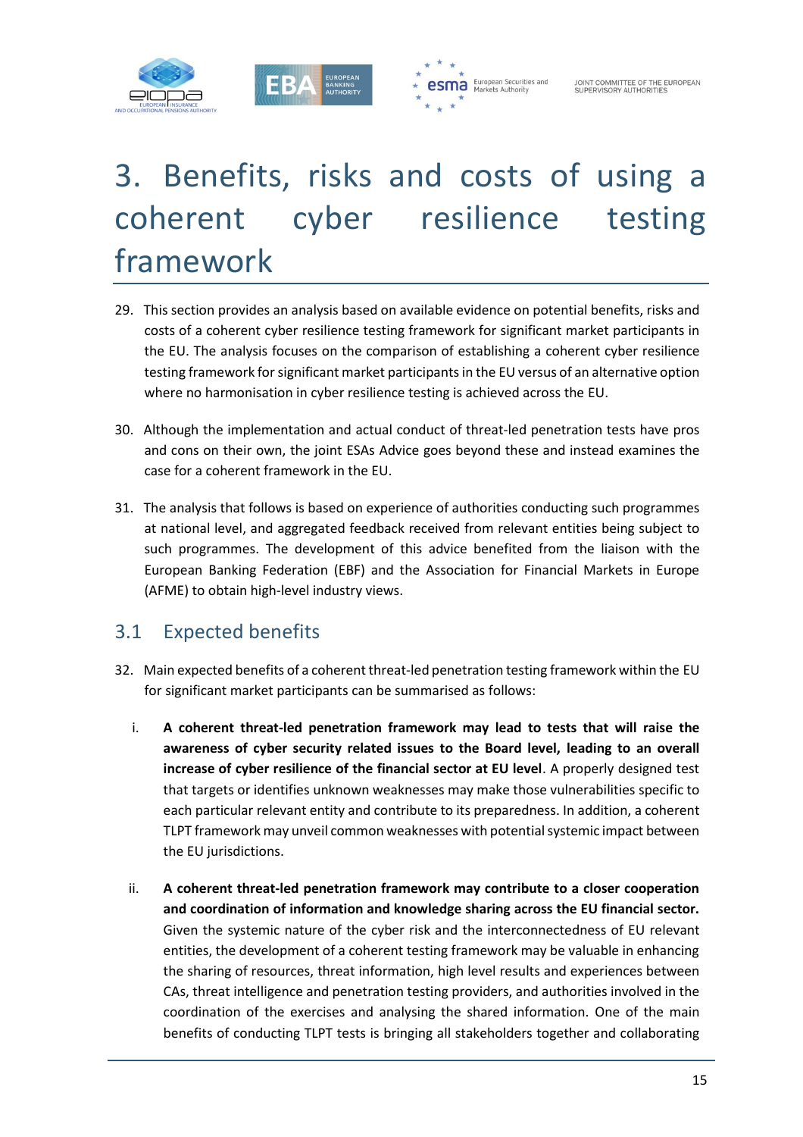



# 3. Benefits, risks and costs of using a coherent cyber resilience testing framework

- 29. This section provides an analysis based on available evidence on potential benefits, risks and costs of a coherent cyber resilience testing framework for significant market participants in the EU. The analysis focuses on the comparison of establishing a coherent cyber resilience testing framework for significant market participants in the EU versus of an alternative option where no harmonisation in cyber resilience testing is achieved across the EU.
- 30. Although the implementation and actual conduct of threat-led penetration tests have pros and cons on their own, the joint ESAs Advice goes beyond these and instead examines the case for a coherent framework in the EU.
- 31. The analysis that follows is based on experience of authorities conducting such programmes at national level, and aggregated feedback received from relevant entities being subject to such programmes. The development of this advice benefited from the liaison with the European Banking Federation (EBF) and the Association for Financial Markets in Europe (AFME) to obtain high-level industry views.

### 3.1 Expected benefits

- 32. Main expected benefits of a coherent threat-led penetration testing framework within the EU for significant market participants can be summarised as follows:
	- i. **A coherent threat-led penetration framework may lead to tests that will raise the awareness of cyber security related issues to the Board level, leading to an overall increase of cyber resilience of the financial sector at EU level**. A properly designed test that targets or identifies unknown weaknesses may make those vulnerabilities specific to each particular relevant entity and contribute to its preparedness. In addition, a coherent TLPT framework may unveil common weaknesses with potential systemic impact between the EU jurisdictions.
	- ii. **A coherent threat-led penetration framework may contribute to a closer cooperation and coordination of information and knowledge sharing across the EU financial sector.** Given the systemic nature of the cyber risk and the interconnectedness of EU relevant entities, the development of a coherent testing framework may be valuable in enhancing the sharing of resources, threat information, high level results and experiences between CAs, threat intelligence and penetration testing providers, and authorities involved in the coordination of the exercises and analysing the shared information. One of the main benefits of conducting TLPT tests is bringing all stakeholders together and collaborating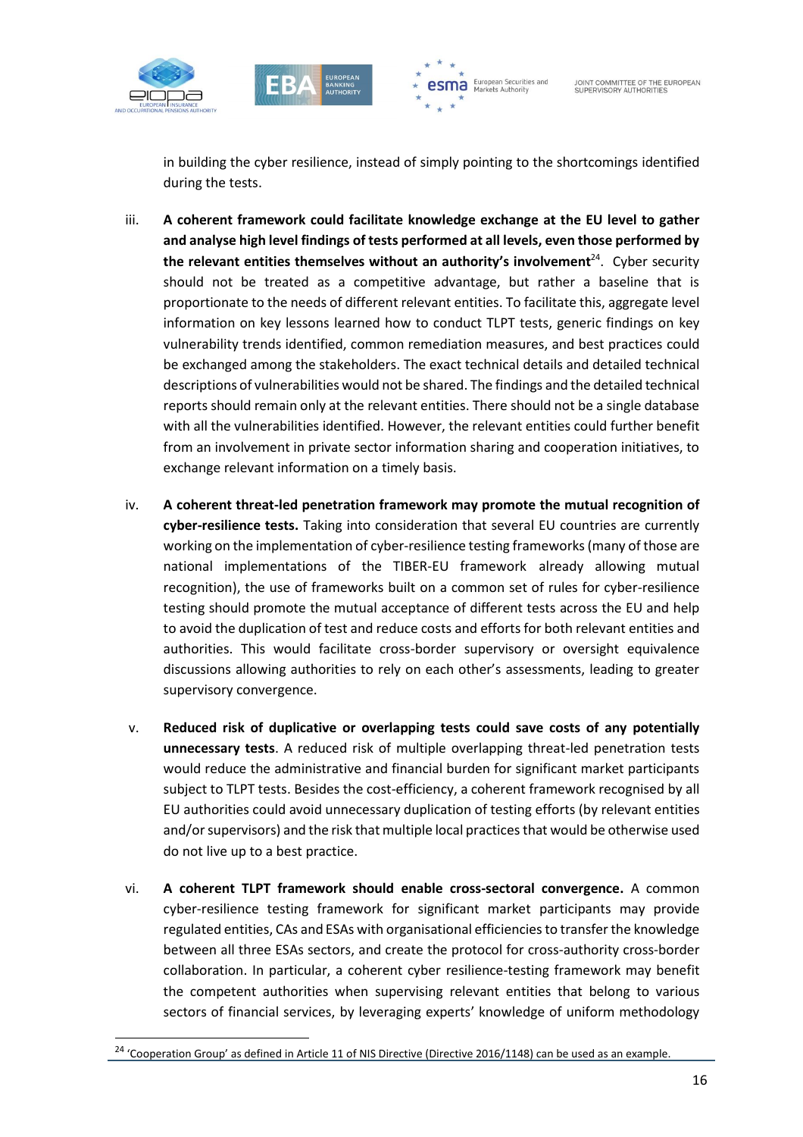

1





in building the cyber resilience, instead of simply pointing to the shortcomings identified during the tests.

- iii. **A coherent framework could facilitate knowledge exchange at the EU level to gather and analyse high level findings of tests performed at all levels, even those performed by the relevant entities themselves without an authority's involvement**<sup>24</sup> . Cyber security should not be treated as a competitive advantage, but rather a baseline that is proportionate to the needs of different relevant entities. To facilitate this, aggregate level information on key lessons learned how to conduct TLPT tests, generic findings on key vulnerability trends identified, common remediation measures, and best practices could be exchanged among the stakeholders. The exact technical details and detailed technical descriptions of vulnerabilities would not be shared. The findings and the detailed technical reports should remain only at the relevant entities. There should not be a single database with all the vulnerabilities identified. However, the relevant entities could further benefit from an involvement in private sector information sharing and cooperation initiatives, to exchange relevant information on a timely basis.
- iv. **A coherent threat-led penetration framework may promote the mutual recognition of cyber-resilience tests.** Taking into consideration that several EU countries are currently working on the implementation of cyber-resilience testing frameworks(many of those are national implementations of the TIBER-EU framework already allowing mutual recognition), the use of frameworks built on a common set of rules for cyber-resilience testing should promote the mutual acceptance of different tests across the EU and help to avoid the duplication of test and reduce costs and efforts for both relevant entities and authorities. This would facilitate cross-border supervisory or oversight equivalence discussions allowing authorities to rely on each other's assessments, leading to greater supervisory convergence.
- v. **Reduced risk of duplicative or overlapping tests could save costs of any potentially unnecessary tests**. A reduced risk of multiple overlapping threat-led penetration tests would reduce the administrative and financial burden for significant market participants subject to TLPT tests. Besides the cost-efficiency, a coherent framework recognised by all EU authorities could avoid unnecessary duplication of testing efforts (by relevant entities and/or supervisors) and the risk that multiple local practices that would be otherwise used do not live up to a best practice.
- vi. **A coherent TLPT framework should enable cross-sectoral convergence.** A common cyber-resilience testing framework for significant market participants may provide regulated entities, CAs and ESAs with organisational efficiencies to transfer the knowledge between all three ESAs sectors, and create the protocol for cross-authority cross-border collaboration. In particular, a coherent cyber resilience-testing framework may benefit the competent authorities when supervising relevant entities that belong to various sectors of financial services, by leveraging experts' knowledge of uniform methodology

<sup>&</sup>lt;sup>24</sup> 'Cooperation Group' as defined in Article 11 of NIS Directive (Directive 2016/1148) can be used as an example.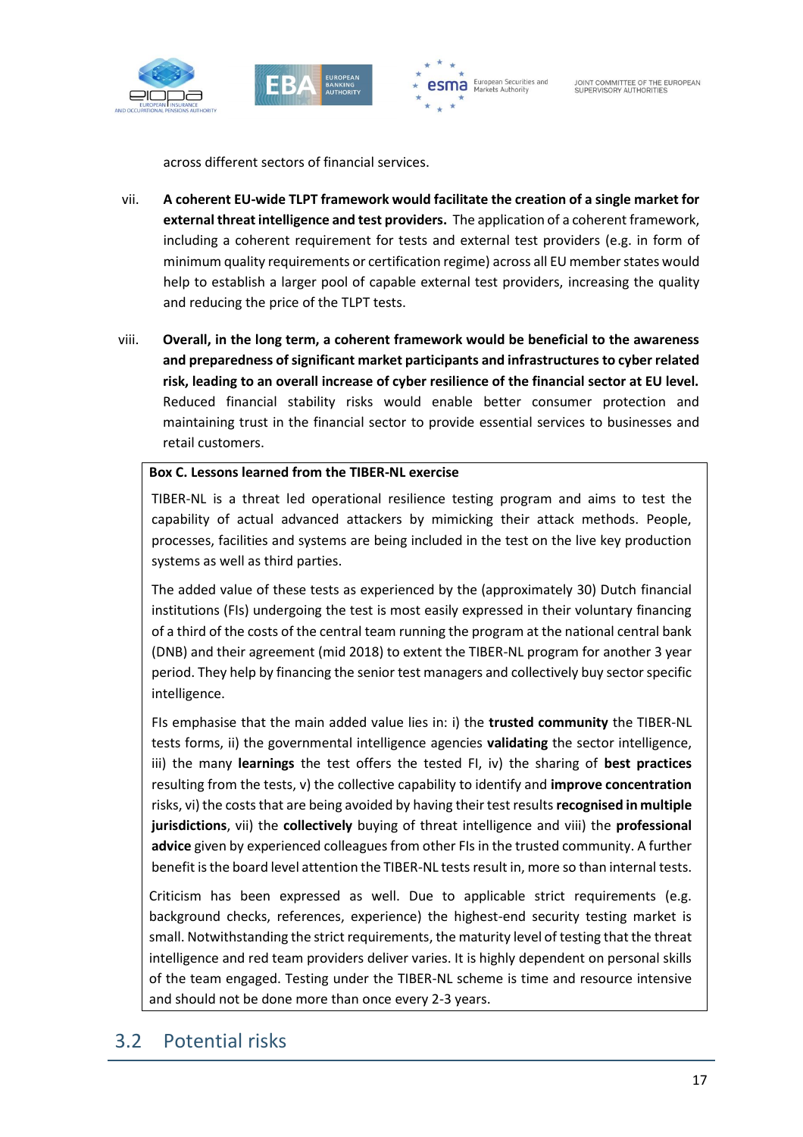





across different sectors of financial services.

- vii. **A coherent EU-wide TLPT framework would facilitate the creation of a single market for external threat intelligence and test providers.** The application of a coherent framework, including a coherent requirement for tests and external test providers (e.g. in form of minimum quality requirements or certification regime) across all EU member states would help to establish a larger pool of capable external test providers, increasing the quality and reducing the price of the TLPT tests.
- viii. **Overall, in the long term, a coherent framework would be beneficial to the awareness and preparedness of significant market participants and infrastructures to cyber related risk, leading to an overall increase of cyber resilience of the financial sector at EU level.**  Reduced financial stability risks would enable better consumer protection and maintaining trust in the financial sector to provide essential services to businesses and retail customers.

#### **Box C. Lessons learned from the TIBER-NL exercise**

TIBER-NL is a threat led operational resilience testing program and aims to test the capability of actual advanced attackers by mimicking their attack methods. People, processes, facilities and systems are being included in the test on the live key production systems as well as third parties.

The added value of these tests as experienced by the (approximately 30) Dutch financial institutions (FIs) undergoing the test is most easily expressed in their voluntary financing of a third of the costs of the central team running the program at the national central bank (DNB) and their agreement (mid 2018) to extent the TIBER-NL program for another 3 year period. They help by financing the senior test managers and collectively buy sector specific intelligence.

FIs emphasise that the main added value lies in: i) the **trusted community** the TIBER-NL tests forms, ii) the governmental intelligence agencies **validating** the sector intelligence, iii) the many **learnings** the test offers the tested FI, iv) the sharing of **best practices** resulting from the tests, v) the collective capability to identify and **improve concentration** risks, vi) the costs that are being avoided by having their test results **recognised in multiple jurisdictions**, vii) the **collectively** buying of threat intelligence and viii) the **professional advice** given by experienced colleagues from other FIs in the trusted community. A further benefit is the board level attention the TIBER-NL tests result in, more so than internal tests.

Criticism has been expressed as well. Due to applicable strict requirements (e.g. background checks, references, experience) the highest-end security testing market is small. Notwithstanding the strict requirements, the maturity level of testing that the threat intelligence and red team providers deliver varies. It is highly dependent on personal skills of the team engaged. Testing under the TIBER-NL scheme is time and resource intensive and should not be done more than once every 2-3 years.

### 3.2 Potential risks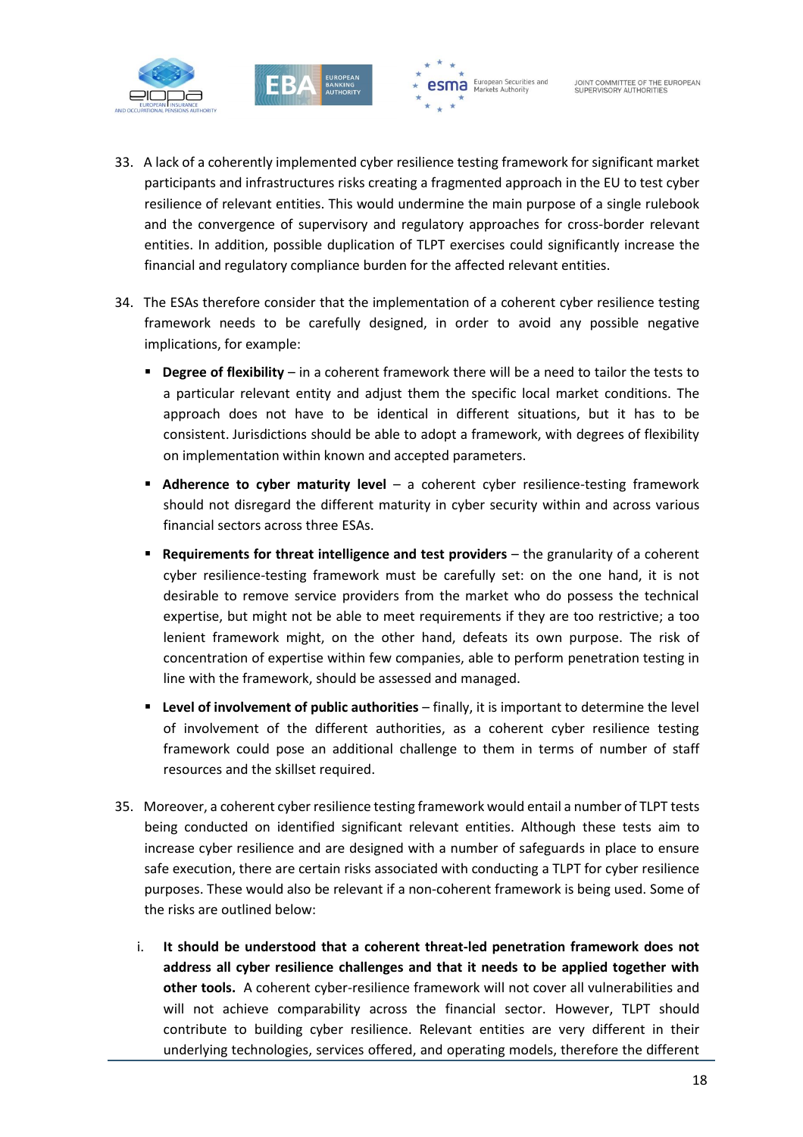



- 33. A lack of a coherently implemented cyber resilience testing framework for significant market participants and infrastructures risks creating a fragmented approach in the EU to test cyber resilience of relevant entities. This would undermine the main purpose of a single rulebook and the convergence of supervisory and regulatory approaches for cross-border relevant entities. In addition, possible duplication of TLPT exercises could significantly increase the financial and regulatory compliance burden for the affected relevant entities.
- 34. The ESAs therefore consider that the implementation of a coherent cyber resilience testing framework needs to be carefully designed, in order to avoid any possible negative implications, for example:
	- **Degree of flexibility** in a coherent framework there will be a need to tailor the tests to a particular relevant entity and adjust them the specific local market conditions. The approach does not have to be identical in different situations, but it has to be consistent. Jurisdictions should be able to adopt a framework, with degrees of flexibility on implementation within known and accepted parameters.
	- **Adherence to cyber maturity level** a coherent cyber resilience-testing framework should not disregard the different maturity in cyber security within and across various financial sectors across three ESAs.
	- **Requirements for threat intelligence and test providers** the granularity of a coherent cyber resilience-testing framework must be carefully set: on the one hand, it is not desirable to remove service providers from the market who do possess the technical expertise, but might not be able to meet requirements if they are too restrictive; a too lenient framework might, on the other hand, defeats its own purpose. The risk of concentration of expertise within few companies, able to perform penetration testing in line with the framework, should be assessed and managed.
	- **Level of involvement of public authorities** finally, it is important to determine the level of involvement of the different authorities, as a coherent cyber resilience testing framework could pose an additional challenge to them in terms of number of staff resources and the skillset required.
- 35. Moreover, a coherent cyber resilience testing framework would entail a number of TLPT tests being conducted on identified significant relevant entities. Although these tests aim to increase cyber resilience and are designed with a number of safeguards in place to ensure safe execution, there are certain risks associated with conducting a TLPT for cyber resilience purposes. These would also be relevant if a non-coherent framework is being used. Some of the risks are outlined below:
	- i. **It should be understood that a coherent threat-led penetration framework does not address all cyber resilience challenges and that it needs to be applied together with other tools.** A coherent cyber-resilience framework will not cover all vulnerabilities and will not achieve comparability across the financial sector. However, TLPT should contribute to building cyber resilience. Relevant entities are very different in their underlying technologies, services offered, and operating models, therefore the different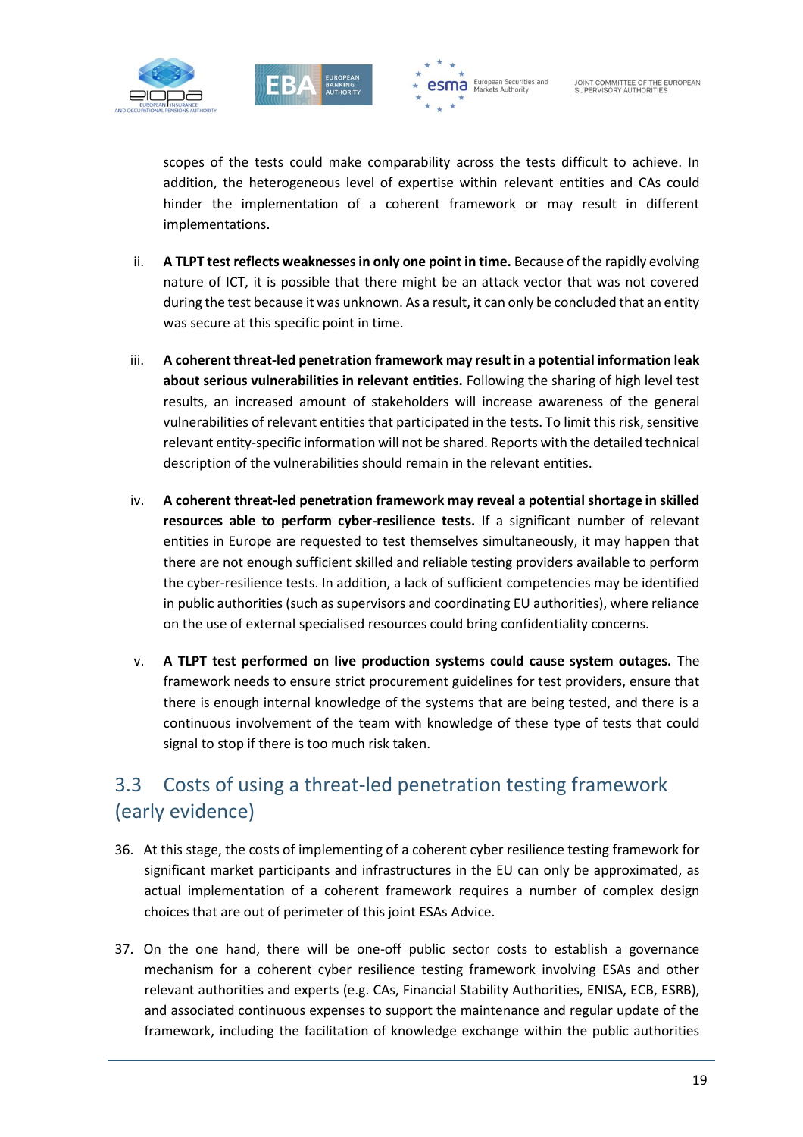



scopes of the tests could make comparability across the tests difficult to achieve. In addition, the heterogeneous level of expertise within relevant entities and CAs could hinder the implementation of a coherent framework or may result in different implementations.

- ii. **A TLPT test reflects weaknesses in only one point in time.** Because of the rapidly evolving nature of ICT, it is possible that there might be an attack vector that was not covered during the test because it was unknown. As a result, it can only be concluded that an entity was secure at this specific point in time.
- iii. **A coherent threat-led penetration framework may result in a potential information leak about serious vulnerabilities in relevant entities.** Following the sharing of high level test results, an increased amount of stakeholders will increase awareness of the general vulnerabilities of relevant entities that participated in the tests. To limit this risk, sensitive relevant entity-specific information will not be shared. Reports with the detailed technical description of the vulnerabilities should remain in the relevant entities.
- iv. **A coherent threat-led penetration framework may reveal a potential shortage in skilled resources able to perform cyber-resilience tests.** If a significant number of relevant entities in Europe are requested to test themselves simultaneously, it may happen that there are not enough sufficient skilled and reliable testing providers available to perform the cyber-resilience tests. In addition, a lack of sufficient competencies may be identified in public authorities (such as supervisors and coordinating EU authorities), where reliance on the use of external specialised resources could bring confidentiality concerns.
- v. **A TLPT test performed on live production systems could cause system outages.** The framework needs to ensure strict procurement guidelines for test providers, ensure that there is enough internal knowledge of the systems that are being tested, and there is a continuous involvement of the team with knowledge of these type of tests that could signal to stop if there is too much risk taken.

## 3.3 Costs of using a threat-led penetration testing framework (early evidence)

- 36. At this stage, the costs of implementing of a coherent cyber resilience testing framework for significant market participants and infrastructures in the EU can only be approximated, as actual implementation of a coherent framework requires a number of complex design choices that are out of perimeter of this joint ESAs Advice.
- 37. On the one hand, there will be one-off public sector costs to establish a governance mechanism for a coherent cyber resilience testing framework involving ESAs and other relevant authorities and experts (e.g. CAs, Financial Stability Authorities, ENISA, ECB, ESRB), and associated continuous expenses to support the maintenance and regular update of the framework, including the facilitation of knowledge exchange within the public authorities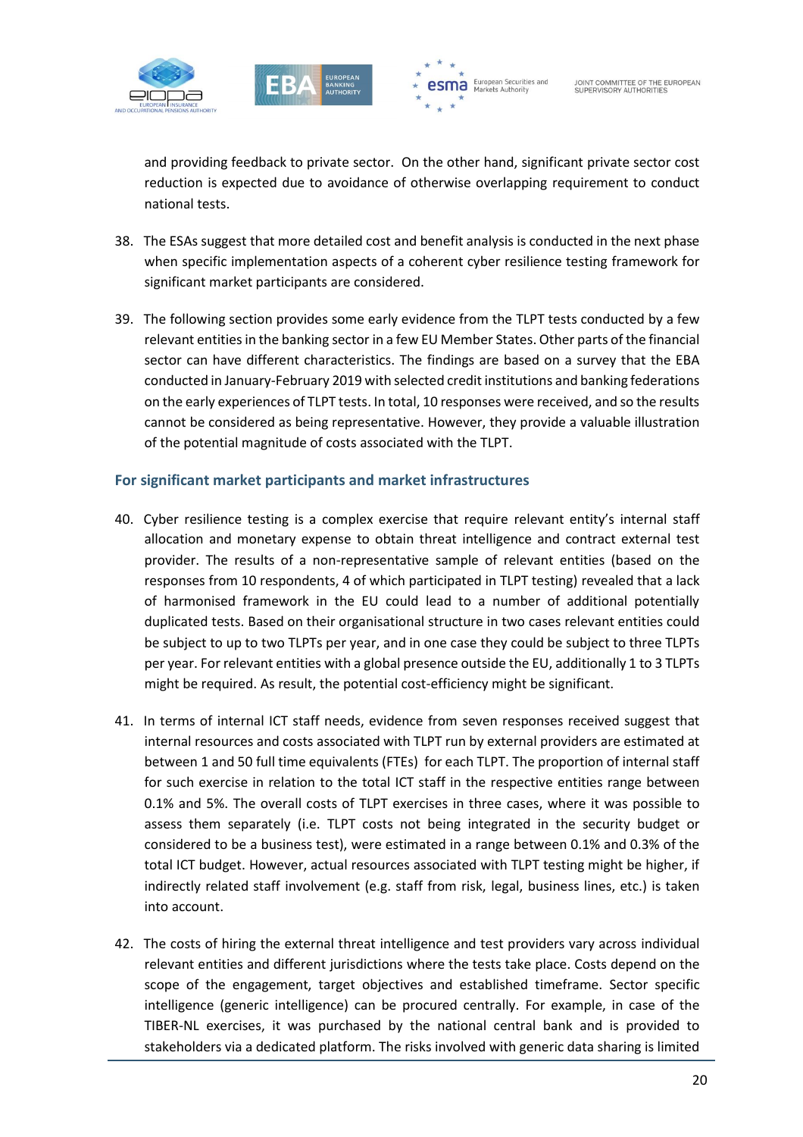





and providing feedback to private sector. On the other hand, significant private sector cost reduction is expected due to avoidance of otherwise overlapping requirement to conduct national tests.

- 38. The ESAs suggest that more detailed cost and benefit analysis is conducted in the next phase when specific implementation aspects of a coherent cyber resilience testing framework for significant market participants are considered.
- 39. The following section provides some early evidence from the TLPT tests conducted by a few relevant entitiesin the banking sector in a few EU Member States. Other parts of the financial sector can have different characteristics. The findings are based on a survey that the EBA conducted in January-February 2019 with selected credit institutions and banking federations on the early experiences of TLPT tests. In total, 10 responses were received, and so the results cannot be considered as being representative. However, they provide a valuable illustration of the potential magnitude of costs associated with the TLPT.

#### **For significant market participants and market infrastructures**

- 40. Cyber resilience testing is a complex exercise that require relevant entity's internal staff allocation and monetary expense to obtain threat intelligence and contract external test provider. The results of a non-representative sample of relevant entities (based on the responses from 10 respondents, 4 of which participated in TLPT testing) revealed that a lack of harmonised framework in the EU could lead to a number of additional potentially duplicated tests. Based on their organisational structure in two cases relevant entities could be subject to up to two TLPTs per year, and in one case they could be subject to three TLPTs per year. For relevant entities with a global presence outside the EU, additionally 1 to 3 TLPTs might be required. As result, the potential cost-efficiency might be significant.
- 41. In terms of internal ICT staff needs, evidence from seven responses received suggest that internal resources and costs associated with TLPT run by external providers are estimated at between 1 and 50 full time equivalents (FTEs) for each TLPT. The proportion of internal staff for such exercise in relation to the total ICT staff in the respective entities range between 0.1% and 5%. The overall costs of TLPT exercises in three cases, where it was possible to assess them separately (i.e. TLPT costs not being integrated in the security budget or considered to be a business test), were estimated in a range between 0.1% and 0.3% of the total ICT budget. However, actual resources associated with TLPT testing might be higher, if indirectly related staff involvement (e.g. staff from risk, legal, business lines, etc.) is taken into account.
- 42. The costs of hiring the external threat intelligence and test providers vary across individual relevant entities and different jurisdictions where the tests take place. Costs depend on the scope of the engagement, target objectives and established timeframe. Sector specific intelligence (generic intelligence) can be procured centrally. For example, in case of the TIBER-NL exercises, it was purchased by the national central bank and is provided to stakeholders via a dedicated platform. The risks involved with generic data sharing is limited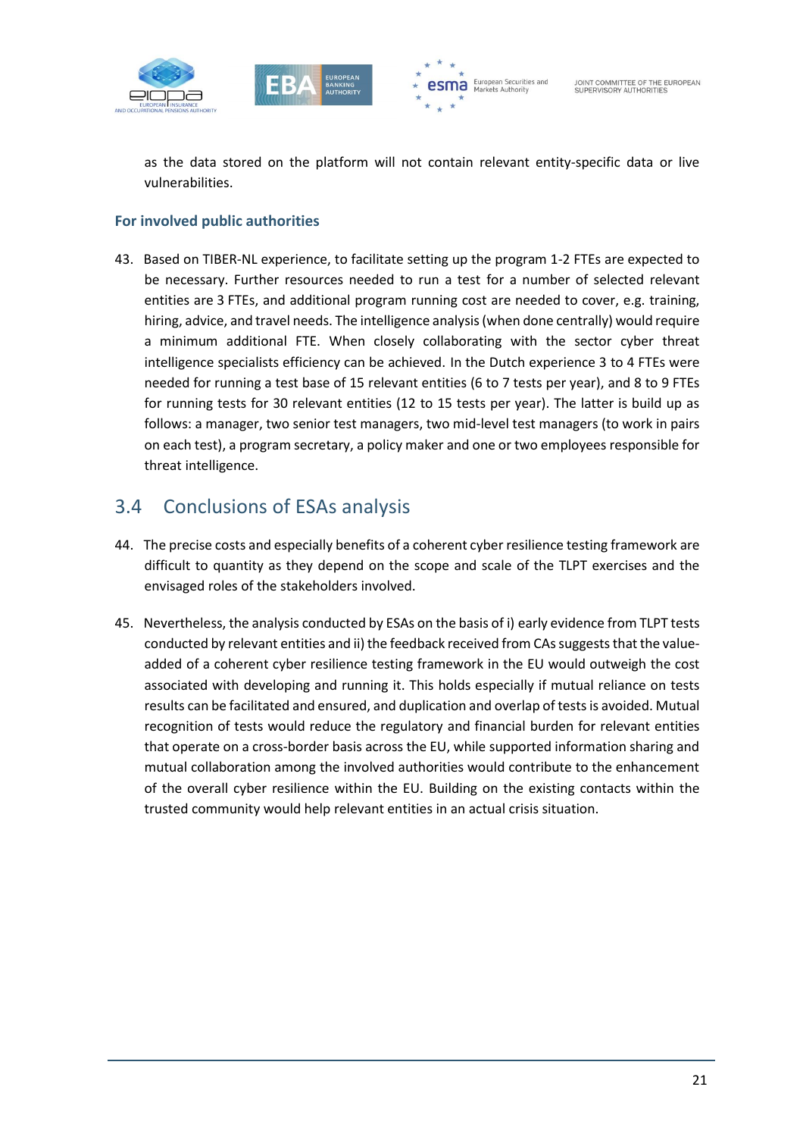





as the data stored on the platform will not contain relevant entity-specific data or live vulnerabilities.

#### **For involved public authorities**

43. Based on TIBER-NL experience, to facilitate setting up the program 1-2 FTEs are expected to be necessary. Further resources needed to run a test for a number of selected relevant entities are 3 FTEs, and additional program running cost are needed to cover, e.g. training, hiring, advice, and travel needs. The intelligence analysis (when done centrally) would require a minimum additional FTE. When closely collaborating with the sector cyber threat intelligence specialists efficiency can be achieved. In the Dutch experience 3 to 4 FTEs were needed for running a test base of 15 relevant entities (6 to 7 tests per year), and 8 to 9 FTEs for running tests for 30 relevant entities (12 to 15 tests per year). The latter is build up as follows: a manager, two senior test managers, two mid-level test managers (to work in pairs on each test), a program secretary, a policy maker and one or two employees responsible for threat intelligence.

### 3.4 Conclusions of ESAs analysis

- 44. The precise costs and especially benefits of a coherent cyber resilience testing framework are difficult to quantity as they depend on the scope and scale of the TLPT exercises and the envisaged roles of the stakeholders involved.
- 45. Nevertheless, the analysis conducted by ESAs on the basis of i) early evidence from TLPT tests conducted by relevant entities and ii) the feedback received from CAs suggests that the valueadded of a coherent cyber resilience testing framework in the EU would outweigh the cost associated with developing and running it. This holds especially if mutual reliance on tests results can be facilitated and ensured, and duplication and overlap of tests is avoided. Mutual recognition of tests would reduce the regulatory and financial burden for relevant entities that operate on a cross-border basis across the EU, while supported information sharing and mutual collaboration among the involved authorities would contribute to the enhancement of the overall cyber resilience within the EU. Building on the existing contacts within the trusted community would help relevant entities in an actual crisis situation.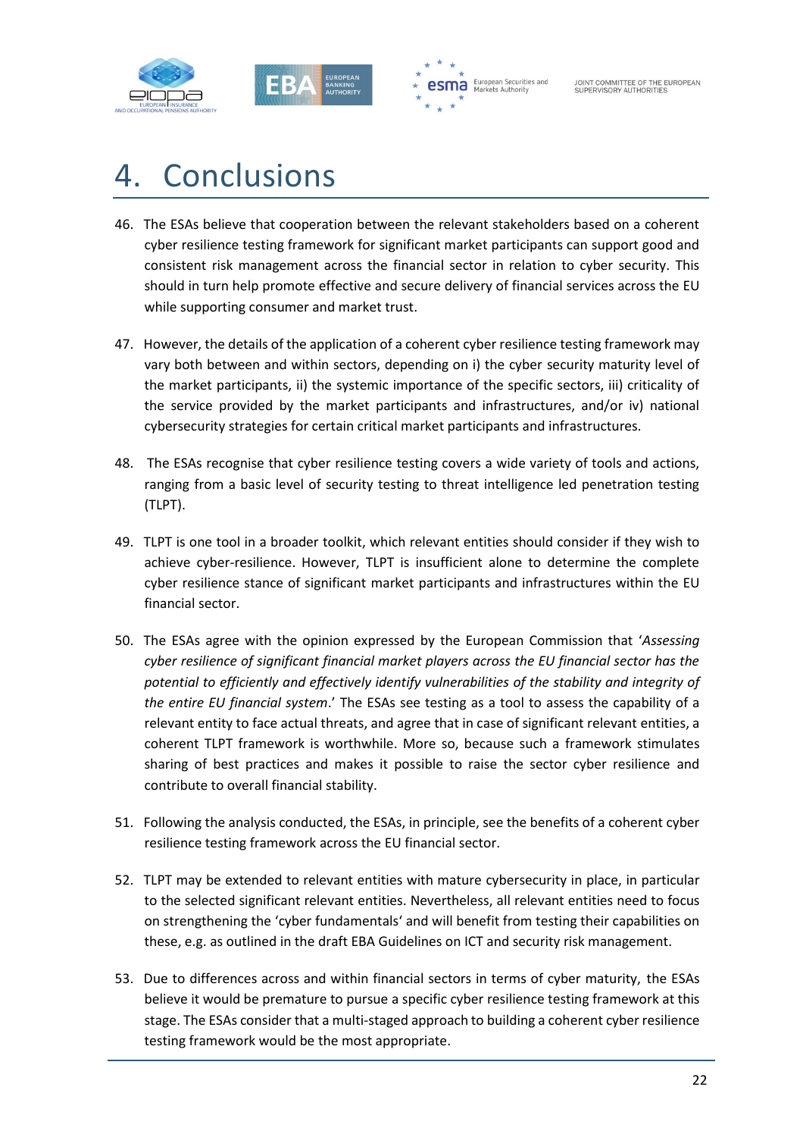



# 4. Conclusions

- 46. The ESAs believe that cooperation between the relevant stakeholders based on a coherent cyber resilience testing framework for significant market participants can support good and consistent risk management across the financial sector in relation to cyber security. This should in turn help promote effective and secure delivery of financial services across the EU while supporting consumer and market trust.
- 47. However, the details of the application of a coherent cyber resilience testing framework may vary both between and within sectors, depending on i) the cyber security maturity level of the market participants, ii) the systemic importance of the specific sectors, iii) criticality of the service provided by the market participants and infrastructures, and/or iv) national cybersecurity strategies for certain critical market participants and infrastructures.
- 48. The ESAs recognise that cyber resilience testing covers a wide variety of tools and actions, ranging from a basic level of security testing to threat intelligence led penetration testing (TLPT).
- 49. TLPT is one tool in a broader toolkit, which relevant entities should consider if they wish to achieve cyber-resilience. However, TLPT is insufficient alone to determine the complete cyber resilience stance of significant market participants and infrastructures within the EU financial sector.
- 50. The ESAs agree with the opinion expressed by the European Commission that '*Assessing cyber resilience of significant financial market players across the EU financial sector has the potential to efficiently and effectively identify vulnerabilities of the stability and integrity of the entire EU financial system*.' The ESAs see testing as a tool to assess the capability of a relevant entity to face actual threats, and agree that in case of significant relevant entities, a coherent TLPT framework is worthwhile. More so, because such a framework stimulates sharing of best practices and makes it possible to raise the sector cyber resilience and contribute to overall financial stability.
- 51. Following the analysis conducted, the ESAs, in principle, see the benefits of a coherent cyber resilience testing framework across the EU financial sector.
- 52. TLPT may be extended to relevant entities with mature cybersecurity in place, in particular to the selected significant relevant entities. Nevertheless, all relevant entities need to focus on strengthening the 'cyber fundamentals' and will benefit from testing their capabilities on these, e.g. as outlined in the draft EBA Guidelines on ICT and security risk management.
- 53. Due to differences across and within financial sectors in terms of cyber maturity, the ESAs believe it would be premature to pursue a specific cyber resilience testing framework at this stage. The ESAs consider that a multi-staged approach to building a coherent cyber resilience testing framework would be the most appropriate.